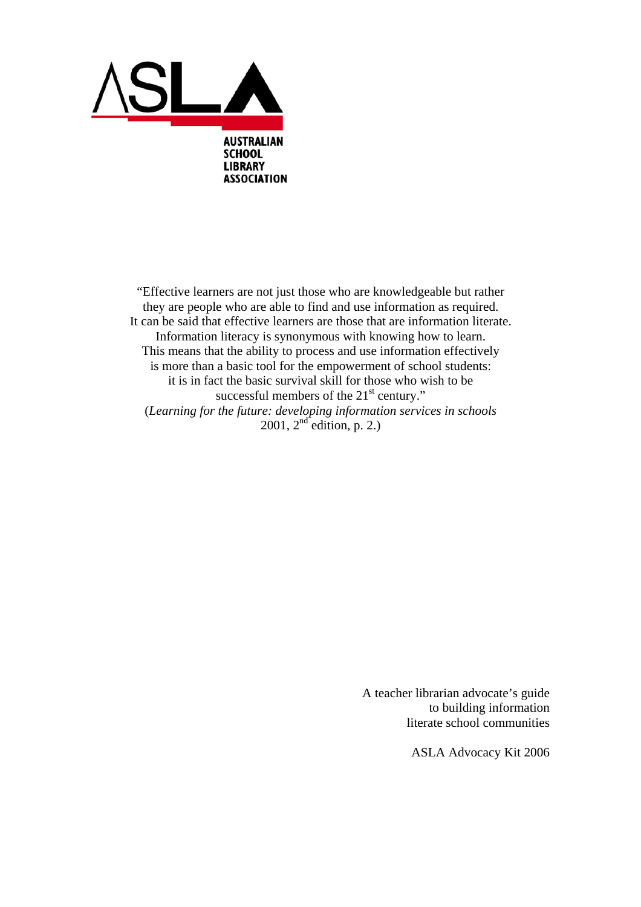

"Effective learners are not just those who are knowledgeable but rather they are people who are able to find and use information as required. It can be said that effective learners are those that are information literate. Information literacy is synonymous with knowing how to learn. This means that the ability to process and use information effectively is more than a basic tool for the empowerment of school students: it is in fact the basic survival skill for those who wish to be successful members of the  $21<sup>st</sup>$  century." (*Learning for the future: developing information services in schools*  2001,  $2^{nd}$  edition, p. 2.)

> A teacher librarian advocate's guide to building information literate school communities

> > ASLA Advocacy Kit 2006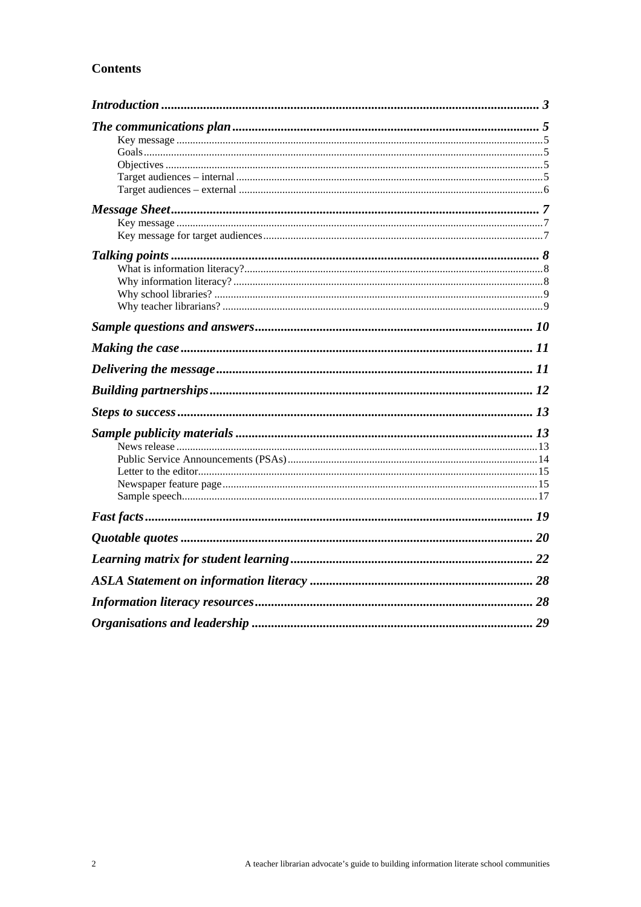# **Contents**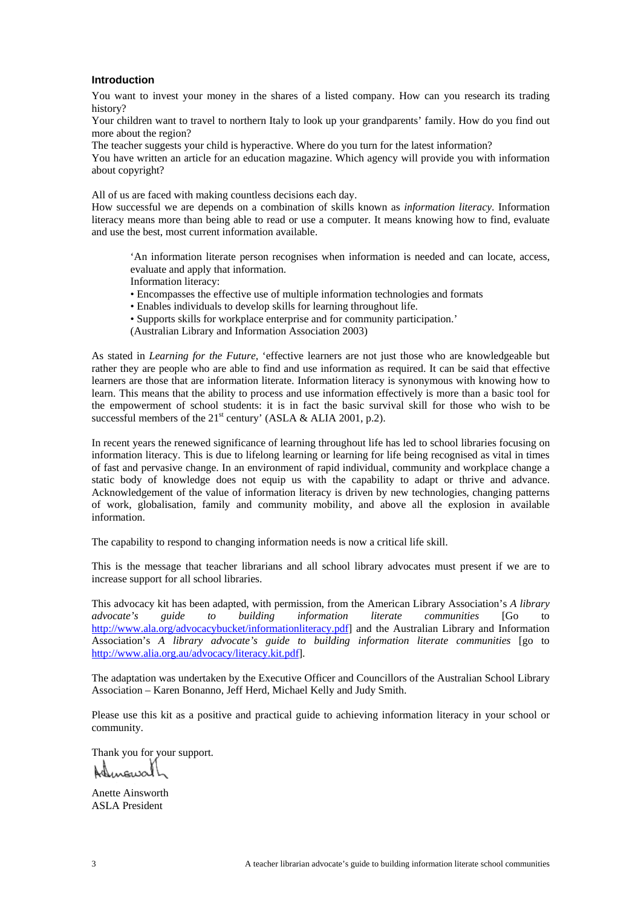### <span id="page-2-0"></span>**Introduction**

You want to invest your money in the shares of a listed company. How can you research its trading history?

Your children want to travel to northern Italy to look up your grandparents' family. How do you find out more about the region?

The teacher suggests your child is hyperactive. Where do you turn for the latest information?

You have written an article for an education magazine. Which agency will provide you with information about copyright?

All of us are faced with making countless decisions each day.

How successful we are depends on a combination of skills known as *information literacy*. Information literacy means more than being able to read or use a computer. It means knowing how to find, evaluate and use the best, most current information available.

'An information literate person recognises when information is needed and can locate, access, evaluate and apply that information.

Information literacy:

• Encompasses the effective use of multiple information technologies and formats

• Enables individuals to develop skills for learning throughout life.

• Supports skills for workplace enterprise and for community participation.'

(Australian Library and Information Association 2003)

As stated in *Learning for the Future,* 'effective learners are not just those who are knowledgeable but rather they are people who are able to find and use information as required. It can be said that effective learners are those that are information literate. Information literacy is synonymous with knowing how to learn. This means that the ability to process and use information effectively is more than a basic tool for the empowerment of school students: it is in fact the basic survival skill for those who wish to be successful members of the 21<sup>st</sup> century' (ASLA & ALIA 2001, p.2).

In recent years the renewed significance of learning throughout life has led to school libraries focusing on information literacy. This is due to lifelong learning or learning for life being recognised as vital in times of fast and pervasive change. In an environment of rapid individual, community and workplace change a static body of knowledge does not equip us with the capability to adapt or thrive and advance. Acknowledgement of the value of information literacy is driven by new technologies, changing patterns of work, globalisation, family and community mobility, and above all the explosion in available information.

The capability to respond to changing information needs is now a critical life skill.

This is the message that teacher librarians and all school library advocates must present if we are to increase support for all school libraries.

This advocacy kit has been adapted, with permission, from the American Library Association's *A library advocate's guide to building information literate communities* [Go to [http://www.ala.org/advocacybucket/informationliteracy.pdf\]](http://www.ala.org/advocacybucket/informationliteracy.pdf) and the Australian Library and Information Association's *A library advocate's guide to building information literate communities* [go to [http://www.alia.org.au/advocacy/literacy.kit.pdf\]](http://www.alia.org.au/advocacy/literacy.kit.pdf).

The adaptation was undertaken by the Executive Officer and Councillors of the Australian School Library Association – Karen Bonanno, Jeff Herd, Michael Kelly and Judy Smith.

Please use this kit as a positive and practical guide to achieving information literacy in your school or community.

Thank you for your support.

Anette Ainsworth ASLA President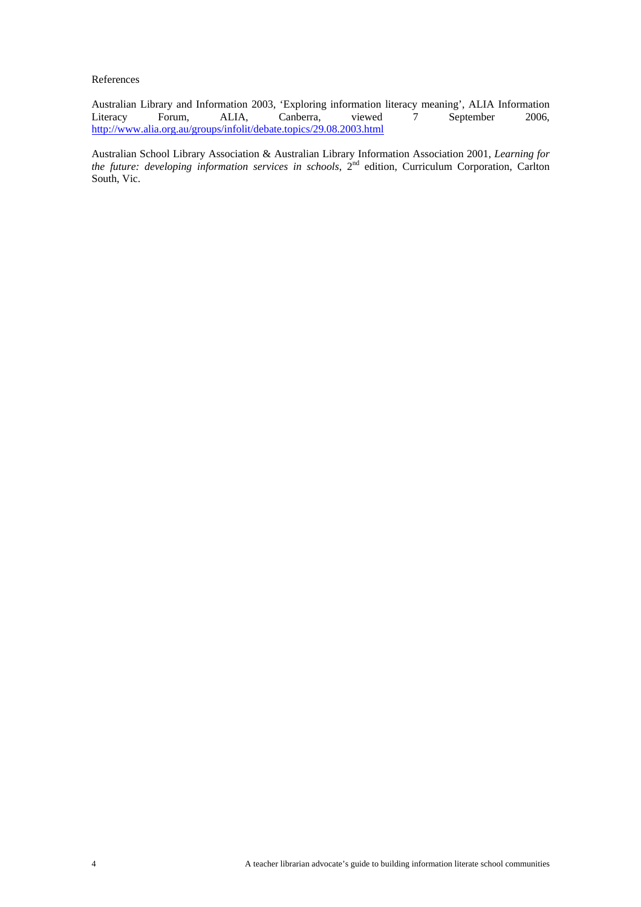References

Australian Library and Information 2003, 'Exploring information literacy meaning', ALIA Information Literacy Forum, ALIA, Canberra, viewed 7 September 2006, Literacy Forum, ALIA, Canberra, viewed 7 September 2006, <http://www.alia.org.au/groups/infolit/debate.topics/29.08.2003.html>

Australian School Library Association & Australian Library Information Association 2001, *Learning for the future: developing information services in schools*, 2nd edition, Curriculum Corporation, Carlton South, Vic.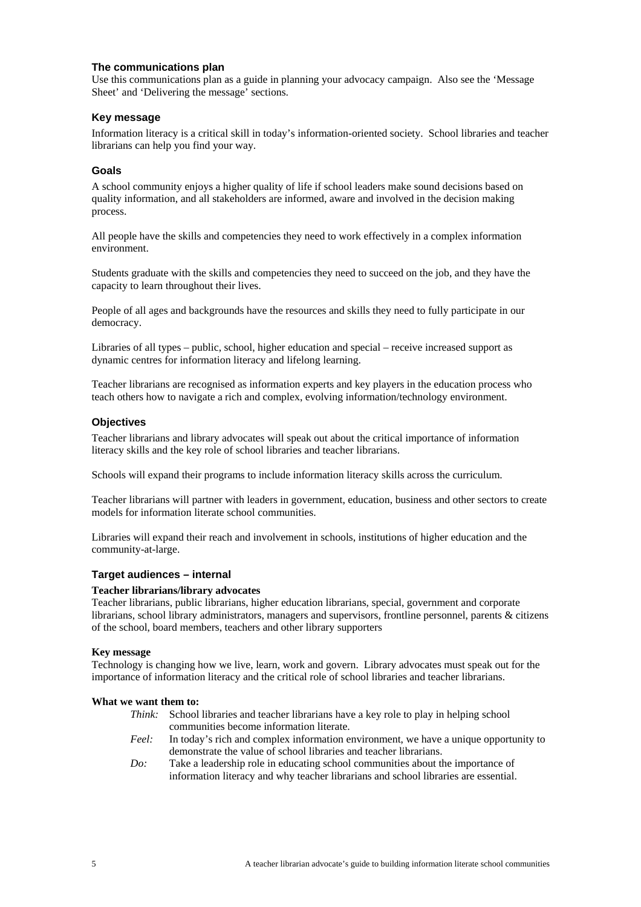### <span id="page-4-0"></span>**The communications plan**

Use this communications plan as a guide in planning your advocacy campaign. Also see the 'Message Sheet' and 'Delivering the message' sections.

## **Key message**

Information literacy is a critical skill in today's information-oriented society. School libraries and teacher librarians can help you find your way.

### **Goals**

A school community enjoys a higher quality of life if school leaders make sound decisions based on quality information, and all stakeholders are informed, aware and involved in the decision making process.

All people have the skills and competencies they need to work effectively in a complex information environment.

Students graduate with the skills and competencies they need to succeed on the job, and they have the capacity to learn throughout their lives.

People of all ages and backgrounds have the resources and skills they need to fully participate in our democracy.

Libraries of all types – public, school, higher education and special – receive increased support as dynamic centres for information literacy and lifelong learning.

Teacher librarians are recognised as information experts and key players in the education process who teach others how to navigate a rich and complex, evolving information/technology environment.

### **Objectives**

Teacher librarians and library advocates will speak out about the critical importance of information literacy skills and the key role of school libraries and teacher librarians.

Schools will expand their programs to include information literacy skills across the curriculum.

Teacher librarians will partner with leaders in government, education, business and other sectors to create models for information literate school communities.

Libraries will expand their reach and involvement in schools, institutions of higher education and the community-at-large.

### **Target audiences – internal**

### **Teacher librarians/library advocates**

Teacher librarians, public librarians, higher education librarians, special, government and corporate librarians, school library administrators, managers and supervisors, frontline personnel, parents & citizens of the school, board members, teachers and other library supporters

### **Key message**

Technology is changing how we live, learn, work and govern. Library advocates must speak out for the importance of information literacy and the critical role of school libraries and teacher librarians.

#### **What we want them to:**

- *Think:* School libraries and teacher librarians have a key role to play in helping school communities become information literate.
	- *Feel:* In today's rich and complex information environment, we have a unique opportunity to demonstrate the value of school libraries and teacher librarians.
- *Do:* Take a leadership role in educating school communities about the importance of information literacy and why teacher librarians and school libraries are essential.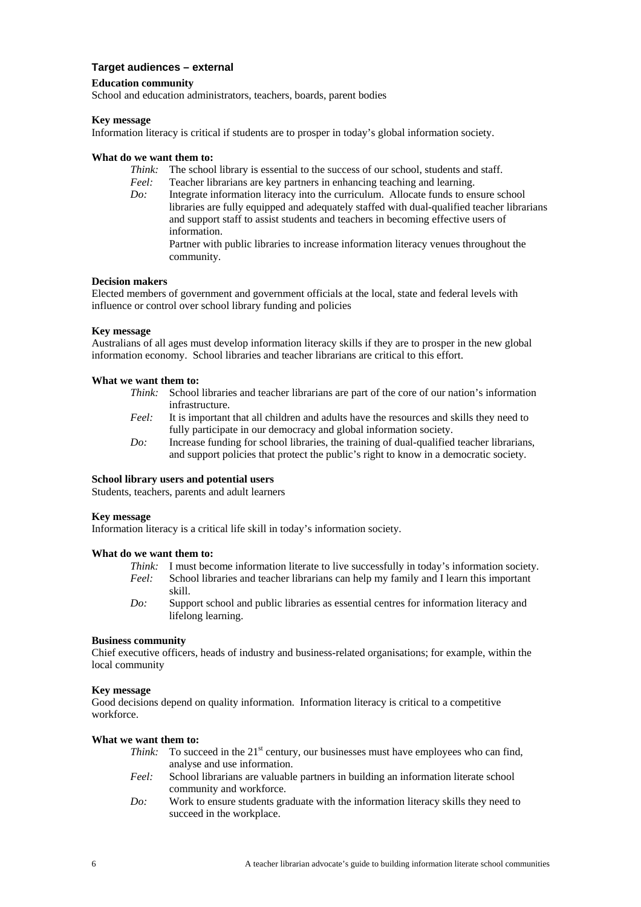## <span id="page-5-0"></span>**Target audiences – external**

### **Education community**

School and education administrators, teachers, boards, parent bodies

### **Key message**

Information literacy is critical if students are to prosper in today's global information society.

### **What do we want them to:**

- *Think:* The school library is essential to the success of our school, students and staff.
- *Feel:* Teacher librarians are key partners in enhancing teaching and learning.
- *Do:* Integrate information literacy into the curriculum. Allocate funds to ensure school libraries are fully equipped and adequately staffed with dual-qualified teacher librarians and support staff to assist students and teachers in becoming effective users of information.

Partner with public libraries to increase information literacy venues throughout the community.

### **Decision makers**

Elected members of government and government officials at the local, state and federal levels with influence or control over school library funding and policies

### **Key message**

Australians of all ages must develop information literacy skills if they are to prosper in the new global information economy. School libraries and teacher librarians are critical to this effort.

### **What we want them to:**

- *Think:* School libraries and teacher librarians are part of the core of our nation's information infrastructure.
- *Feel:* It is important that all children and adults have the resources and skills they need to fully participate in our democracy and global information society.
- *Do:* Increase funding for school libraries, the training of dual-qualified teacher librarians, and support policies that protect the public's right to know in a democratic society.

### **School library users and potential users**

Students, teachers, parents and adult learners

#### **Key message**

Information literacy is a critical life skill in today's information society.

#### **What do we want them to:**

- *Think:* I must become information literate to live successfully in today's information society.
- *Feel:* School libraries and teacher librarians can help my family and I learn this important skill.
- *Do:* Support school and public libraries as essential centres for information literacy and lifelong learning.

#### **Business community**

Chief executive officers, heads of industry and business-related organisations; for example, within the local community

#### **Key message**

Good decisions depend on quality information. Information literacy is critical to a competitive workforce.

### **What we want them to:**

- *Think:* To succeed in the 21<sup>st</sup> century, our businesses must have employees who can find, analyse and use information.
- *Feel:* School librarians are valuable partners in building an information literate school community and workforce.
- *Do:* Work to ensure students graduate with the information literacy skills they need to succeed in the workplace.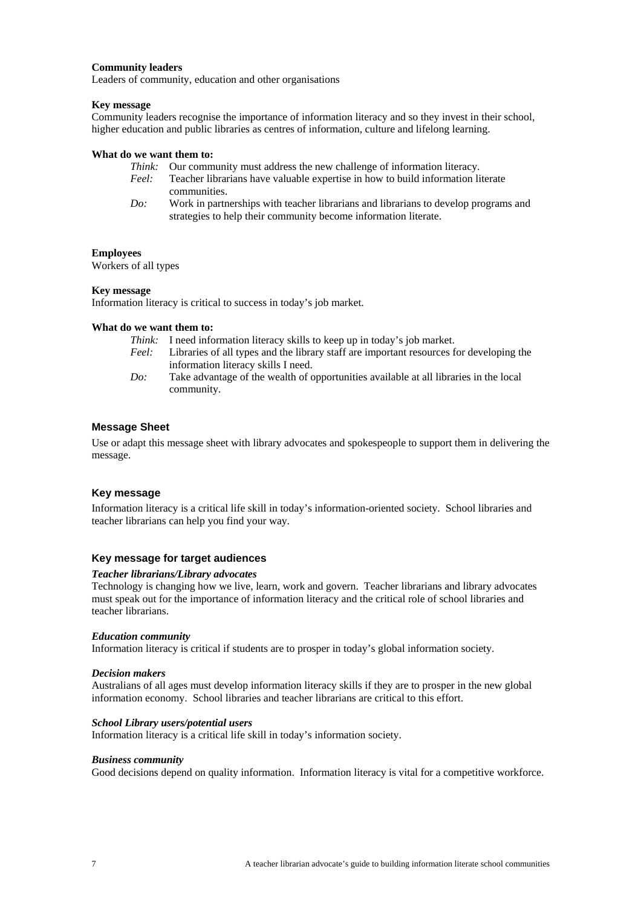### <span id="page-6-0"></span>**Community leaders**

Leaders of community, education and other organisations

#### **Key message**

Community leaders recognise the importance of information literacy and so they invest in their school, higher education and public libraries as centres of information, culture and lifelong learning.

#### **What do we want them to:**

- *Think:* Our community must address the new challenge of information literacy.
- *Feel:* Teacher librarians have valuable expertise in how to build information literate communities.
- *Do:* Work in partnerships with teacher librarians and librarians to develop programs and strategies to help their community become information literate.

#### **Employees**

Workers of all types

#### **Key message**

Information literacy is critical to success in today's job market.

### **What do we want them to:**

- *Think:* I need information literacy skills to keep up in today's job market.
- *Feel:* Libraries of all types and the library staff are important resources for developing the information literacy skills I need.
- *Do:* Take advantage of the wealth of opportunities available at all libraries in the local community.

#### **Message Sheet**

Use or adapt this message sheet with library advocates and spokespeople to support them in delivering the message.

### **Key message**

Information literacy is a critical life skill in today's information-oriented society. School libraries and teacher librarians can help you find your way.

#### **Key message for target audiences**

#### *Teacher librarians/Library advocates*

Technology is changing how we live, learn, work and govern. Teacher librarians and library advocates must speak out for the importance of information literacy and the critical role of school libraries and teacher librarians.

#### *Education community*

Information literacy is critical if students are to prosper in today's global information society.

#### *Decision makers*

Australians of all ages must develop information literacy skills if they are to prosper in the new global information economy. School libraries and teacher librarians are critical to this effort.

#### *School Library users/potential users*

Information literacy is a critical life skill in today's information society.

#### *Business community*

Good decisions depend on quality information. Information literacy is vital for a competitive workforce.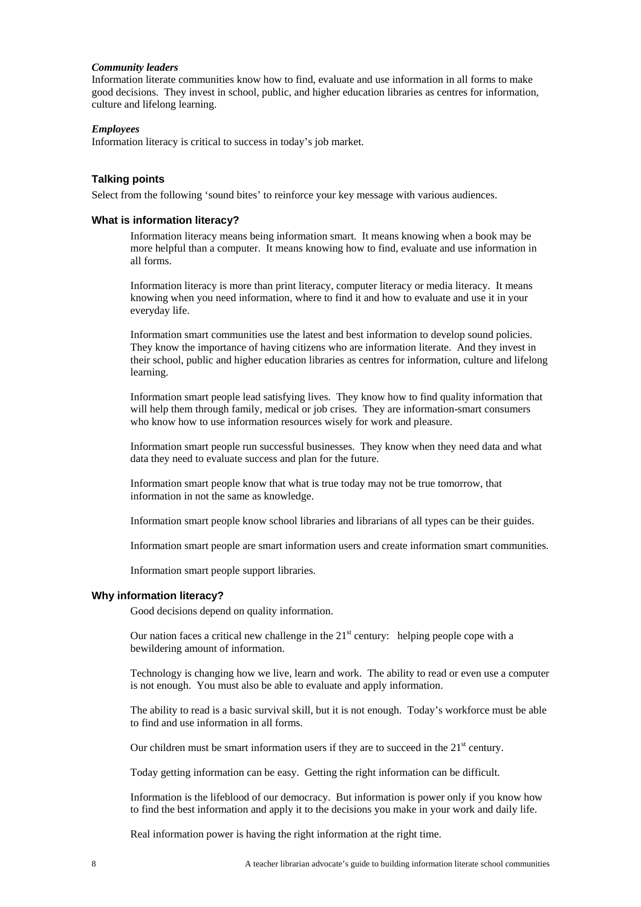#### <span id="page-7-0"></span>*Community leaders*

Information literate communities know how to find, evaluate and use information in all forms to make good decisions. They invest in school, public, and higher education libraries as centres for information, culture and lifelong learning.

#### *Employees*

Information literacy is critical to success in today's job market.

#### **Talking points**

Select from the following 'sound bites' to reinforce your key message with various audiences.

#### **What is information literacy?**

Information literacy means being information smart. It means knowing when a book may be more helpful than a computer. It means knowing how to find, evaluate and use information in all forms.

Information literacy is more than print literacy, computer literacy or media literacy. It means knowing when you need information, where to find it and how to evaluate and use it in your everyday life.

Information smart communities use the latest and best information to develop sound policies. They know the importance of having citizens who are information literate. And they invest in their school, public and higher education libraries as centres for information, culture and lifelong learning.

Information smart people lead satisfying lives. They know how to find quality information that will help them through family, medical or job crises. They are information-smart consumers who know how to use information resources wisely for work and pleasure.

Information smart people run successful businesses. They know when they need data and what data they need to evaluate success and plan for the future.

Information smart people know that what is true today may not be true tomorrow, that information in not the same as knowledge.

Information smart people know school libraries and librarians of all types can be their guides.

Information smart people are smart information users and create information smart communities.

Information smart people support libraries.

#### **Why information literacy?**

Good decisions depend on quality information.

Our nation faces a critical new challenge in the  $21<sup>st</sup>$  century: helping people cope with a bewildering amount of information.

Technology is changing how we live, learn and work. The ability to read or even use a computer is not enough. You must also be able to evaluate and apply information.

The ability to read is a basic survival skill, but it is not enough. Today's workforce must be able to find and use information in all forms.

Our children must be smart information users if they are to succeed in the  $21<sup>st</sup>$  century.

Today getting information can be easy. Getting the right information can be difficult.

Information is the lifeblood of our democracy. But information is power only if you know how to find the best information and apply it to the decisions you make in your work and daily life.

Real information power is having the right information at the right time.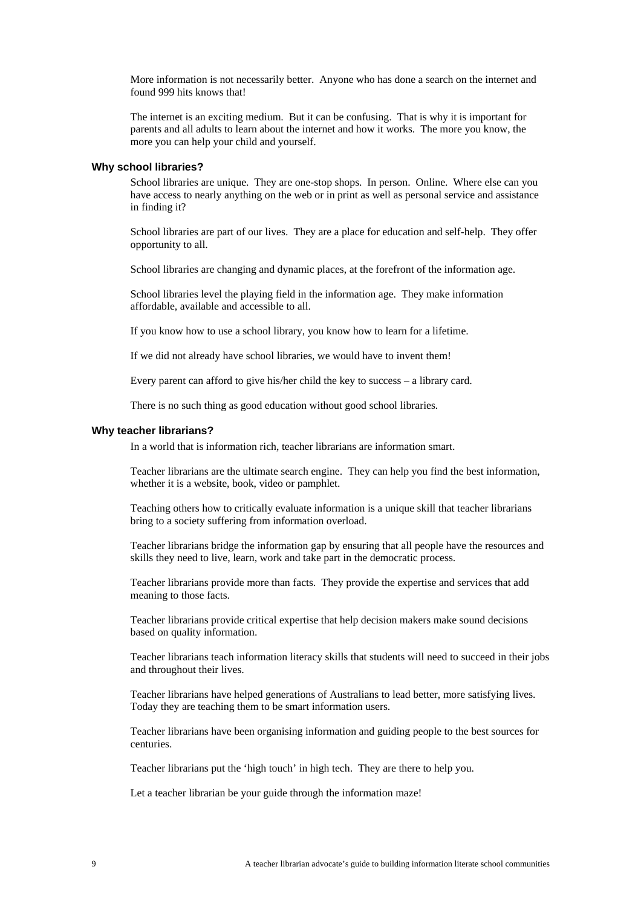<span id="page-8-0"></span>More information is not necessarily better. Anyone who has done a search on the internet and found 999 hits knows that!

The internet is an exciting medium. But it can be confusing. That is why it is important for parents and all adults to learn about the internet and how it works. The more you know, the more you can help your child and yourself.

#### **Why school libraries?**

School libraries are unique. They are one-stop shops. In person. Online. Where else can you have access to nearly anything on the web or in print as well as personal service and assistance in finding it?

School libraries are part of our lives. They are a place for education and self-help. They offer opportunity to all.

School libraries are changing and dynamic places, at the forefront of the information age.

School libraries level the playing field in the information age. They make information affordable, available and accessible to all.

If you know how to use a school library, you know how to learn for a lifetime.

If we did not already have school libraries, we would have to invent them!

Every parent can afford to give his/her child the key to success – a library card.

There is no such thing as good education without good school libraries.

#### **Why teacher librarians?**

In a world that is information rich, teacher librarians are information smart.

Teacher librarians are the ultimate search engine. They can help you find the best information, whether it is a website, book, video or pamphlet.

Teaching others how to critically evaluate information is a unique skill that teacher librarians bring to a society suffering from information overload.

Teacher librarians bridge the information gap by ensuring that all people have the resources and skills they need to live, learn, work and take part in the democratic process.

Teacher librarians provide more than facts. They provide the expertise and services that add meaning to those facts.

Teacher librarians provide critical expertise that help decision makers make sound decisions based on quality information.

Teacher librarians teach information literacy skills that students will need to succeed in their jobs and throughout their lives.

Teacher librarians have helped generations of Australians to lead better, more satisfying lives. Today they are teaching them to be smart information users.

Teacher librarians have been organising information and guiding people to the best sources for centuries.

Teacher librarians put the 'high touch' in high tech. They are there to help you.

Let a teacher librarian be your guide through the information maze!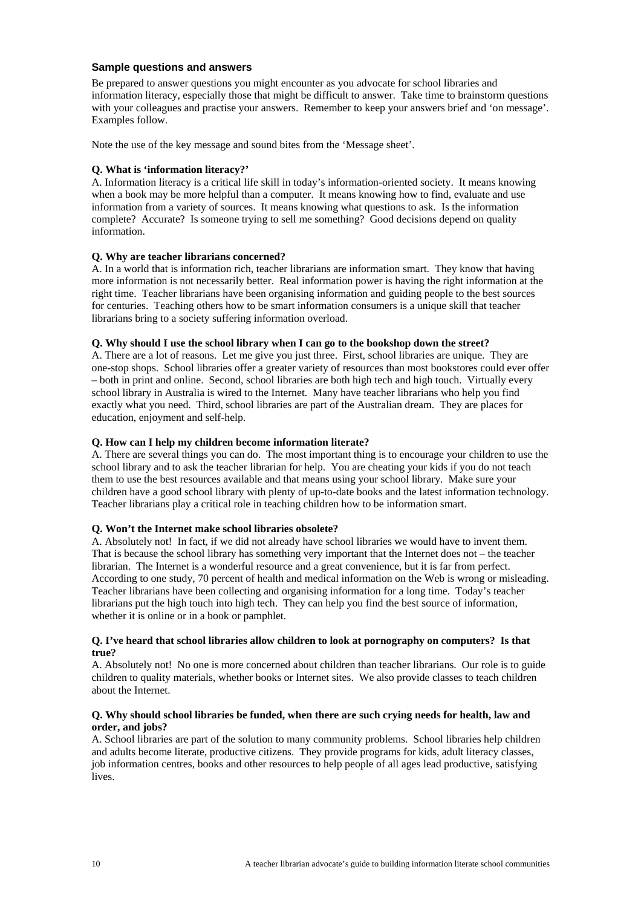### <span id="page-9-0"></span>**Sample questions and answers**

Be prepared to answer questions you might encounter as you advocate for school libraries and information literacy, especially those that might be difficult to answer. Take time to brainstorm questions with your colleagues and practise your answers. Remember to keep your answers brief and 'on message'. Examples follow.

Note the use of the key message and sound bites from the 'Message sheet'.

## **Q. What is 'information literacy?'**

A. Information literacy is a critical life skill in today's information-oriented society. It means knowing when a book may be more helpful than a computer. It means knowing how to find, evaluate and use information from a variety of sources. It means knowing what questions to ask. Is the information complete? Accurate? Is someone trying to sell me something? Good decisions depend on quality information.

## **Q. Why are teacher librarians concerned?**

A. In a world that is information rich, teacher librarians are information smart. They know that having more information is not necessarily better. Real information power is having the right information at the right time. Teacher librarians have been organising information and guiding people to the best sources for centuries. Teaching others how to be smart information consumers is a unique skill that teacher librarians bring to a society suffering information overload.

## **Q. Why should I use the school library when I can go to the bookshop down the street?**

A. There are a lot of reasons. Let me give you just three. First, school libraries are unique. They are one-stop shops. School libraries offer a greater variety of resources than most bookstores could ever offer – both in print and online. Second, school libraries are both high tech and high touch. Virtually every school library in Australia is wired to the Internet. Many have teacher librarians who help you find exactly what you need. Third, school libraries are part of the Australian dream. They are places for education, enjoyment and self-help.

## **Q. How can I help my children become information literate?**

A. There are several things you can do. The most important thing is to encourage your children to use the school library and to ask the teacher librarian for help. You are cheating your kids if you do not teach them to use the best resources available and that means using your school library. Make sure your children have a good school library with plenty of up-to-date books and the latest information technology. Teacher librarians play a critical role in teaching children how to be information smart.

### **Q. Won't the Internet make school libraries obsolete?**

A. Absolutely not! In fact, if we did not already have school libraries we would have to invent them. That is because the school library has something very important that the Internet does not – the teacher librarian. The Internet is a wonderful resource and a great convenience, but it is far from perfect. According to one study, 70 percent of health and medical information on the Web is wrong or misleading. Teacher librarians have been collecting and organising information for a long time. Today's teacher librarians put the high touch into high tech. They can help you find the best source of information, whether it is online or in a book or pamphlet.

### **Q. I've heard that school libraries allow children to look at pornography on computers? Is that true?**

A. Absolutely not! No one is more concerned about children than teacher librarians. Our role is to guide children to quality materials, whether books or Internet sites. We also provide classes to teach children about the Internet.

### **Q. Why should school libraries be funded, when there are such crying needs for health, law and order, and jobs?**

A. School libraries are part of the solution to many community problems. School libraries help children and adults become literate, productive citizens. They provide programs for kids, adult literacy classes, job information centres, books and other resources to help people of all ages lead productive, satisfying lives.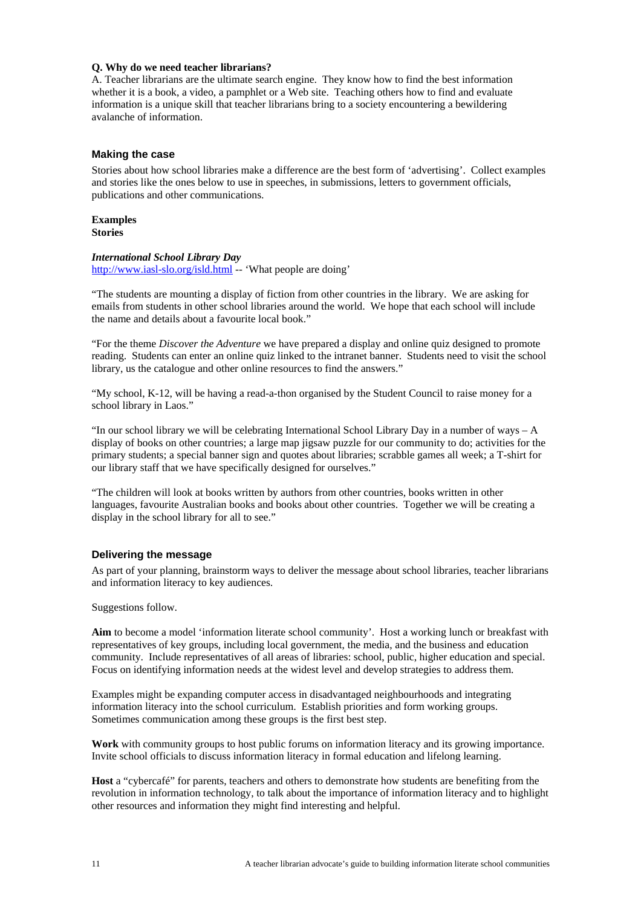### <span id="page-10-0"></span>**Q. Why do we need teacher librarians?**

A. Teacher librarians are the ultimate search engine. They know how to find the best information whether it is a book, a video, a pamphlet or a Web site. Teaching others how to find and evaluate information is a unique skill that teacher librarians bring to a society encountering a bewildering avalanche of information.

### **Making the case**

Stories about how school libraries make a difference are the best form of 'advertising'. Collect examples and stories like the ones below to use in speeches, in submissions, letters to government officials, publications and other communications.

## **Examples**

**Stories** 

### *International School Library Day*

<http://www.iasl-slo.org/isld.html>-- 'What people are doing'

"The students are mounting a display of fiction from other countries in the library. We are asking for emails from students in other school libraries around the world. We hope that each school will include the name and details about a favourite local book."

"For the theme *Discover the Adventure* we have prepared a display and online quiz designed to promote reading. Students can enter an online quiz linked to the intranet banner. Students need to visit the school library, us the catalogue and other online resources to find the answers."

"My school, K-12, will be having a read-a-thon organised by the Student Council to raise money for a school library in Laos."

"In our school library we will be celebrating International School Library Day in a number of ways – A display of books on other countries; a large map jigsaw puzzle for our community to do; activities for the primary students; a special banner sign and quotes about libraries; scrabble games all week; a T-shirt for our library staff that we have specifically designed for ourselves."

"The children will look at books written by authors from other countries, books written in other languages, favourite Australian books and books about other countries. Together we will be creating a display in the school library for all to see."

### **Delivering the message**

As part of your planning, brainstorm ways to deliver the message about school libraries, teacher librarians and information literacy to key audiences.

Suggestions follow.

**Aim** to become a model 'information literate school community'. Host a working lunch or breakfast with representatives of key groups, including local government, the media, and the business and education community. Include representatives of all areas of libraries: school, public, higher education and special. Focus on identifying information needs at the widest level and develop strategies to address them.

Examples might be expanding computer access in disadvantaged neighbourhoods and integrating information literacy into the school curriculum. Establish priorities and form working groups. Sometimes communication among these groups is the first best step.

**Work** with community groups to host public forums on information literacy and its growing importance. Invite school officials to discuss information literacy in formal education and lifelong learning.

**Host** a "cybercafé" for parents, teachers and others to demonstrate how students are benefiting from the revolution in information technology, to talk about the importance of information literacy and to highlight other resources and information they might find interesting and helpful.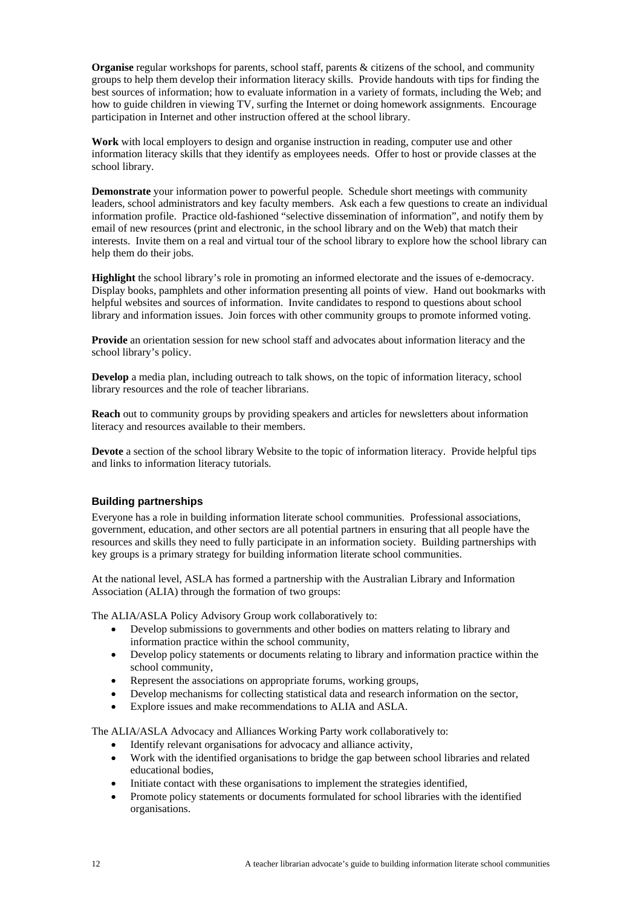<span id="page-11-0"></span>**Organise** regular workshops for parents, school staff, parents & citizens of the school, and community groups to help them develop their information literacy skills. Provide handouts with tips for finding the best sources of information; how to evaluate information in a variety of formats, including the Web; and how to guide children in viewing TV, surfing the Internet or doing homework assignments. Encourage participation in Internet and other instruction offered at the school library.

**Work** with local employers to design and organise instruction in reading, computer use and other information literacy skills that they identify as employees needs. Offer to host or provide classes at the school library.

**Demonstrate** your information power to powerful people. Schedule short meetings with community leaders, school administrators and key faculty members. Ask each a few questions to create an individual information profile. Practice old-fashioned "selective dissemination of information", and notify them by email of new resources (print and electronic, in the school library and on the Web) that match their interests. Invite them on a real and virtual tour of the school library to explore how the school library can help them do their jobs.

**Highlight** the school library's role in promoting an informed electorate and the issues of e-democracy. Display books, pamphlets and other information presenting all points of view. Hand out bookmarks with helpful websites and sources of information. Invite candidates to respond to questions about school library and information issues. Join forces with other community groups to promote informed voting.

**Provide** an orientation session for new school staff and advocates about information literacy and the school library's policy.

**Develop** a media plan, including outreach to talk shows, on the topic of information literacy, school library resources and the role of teacher librarians.

**Reach** out to community groups by providing speakers and articles for newsletters about information literacy and resources available to their members.

**Devote** a section of the school library Website to the topic of information literacy. Provide helpful tips and links to information literacy tutorials.

### **Building partnerships**

Everyone has a role in building information literate school communities. Professional associations, government, education, and other sectors are all potential partners in ensuring that all people have the resources and skills they need to fully participate in an information society. Building partnerships with key groups is a primary strategy for building information literate school communities.

At the national level, ASLA has formed a partnership with the Australian Library and Information Association (ALIA) through the formation of two groups:

The ALIA/ASLA Policy Advisory Group work collaboratively to:

- Develop submissions to governments and other bodies on matters relating to library and information practice within the school community,
- Develop policy statements or documents relating to library and information practice within the school community,
- Represent the associations on appropriate forums, working groups,
- Develop mechanisms for collecting statistical data and research information on the sector,
- Explore issues and make recommendations to ALIA and ASLA.

The ALIA/ASLA Advocacy and Alliances Working Party work collaboratively to:

- Identify relevant organisations for advocacy and alliance activity,
- Work with the identified organisations to bridge the gap between school libraries and related educational bodies,
- Initiate contact with these organisations to implement the strategies identified,
- Promote policy statements or documents formulated for school libraries with the identified organisations.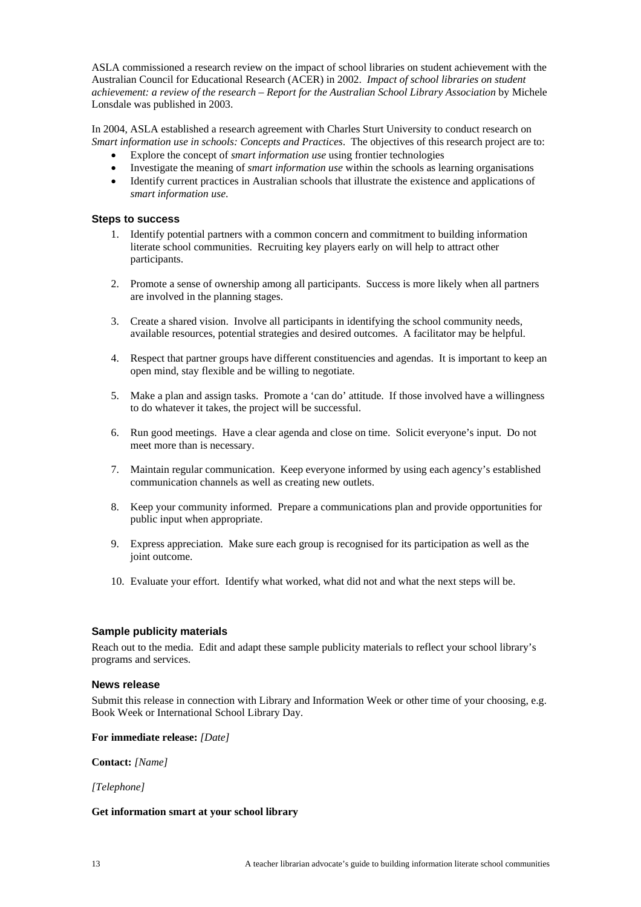<span id="page-12-0"></span>ASLA commissioned a research review on the impact of school libraries on student achievement with the Australian Council for Educational Research (ACER) in 2002. *Impact of school libraries on student achievement: a review of the research – Report for the Australian School Library Association* by Michele Lonsdale was published in 2003.

In 2004, ASLA established a research agreement with Charles Sturt University to conduct research on *Smart information use in schools: Concepts and Practices*. The objectives of this research project are to:

- Explore the concept of *smart information use* using frontier technologies
- Investigate the meaning of *smart information use* within the schools as learning organisations
- Identify current practices in Australian schools that illustrate the existence and applications of *smart information use*.

### **Steps to success**

- 1. Identify potential partners with a common concern and commitment to building information literate school communities. Recruiting key players early on will help to attract other participants.
- 2. Promote a sense of ownership among all participants. Success is more likely when all partners are involved in the planning stages.
- 3. Create a shared vision. Involve all participants in identifying the school community needs, available resources, potential strategies and desired outcomes. A facilitator may be helpful.
- 4. Respect that partner groups have different constituencies and agendas. It is important to keep an open mind, stay flexible and be willing to negotiate.
- 5. Make a plan and assign tasks. Promote a 'can do' attitude. If those involved have a willingness to do whatever it takes, the project will be successful.
- 6. Run good meetings. Have a clear agenda and close on time. Solicit everyone's input. Do not meet more than is necessary.
- 7. Maintain regular communication. Keep everyone informed by using each agency's established communication channels as well as creating new outlets.
- 8. Keep your community informed. Prepare a communications plan and provide opportunities for public input when appropriate.
- 9. Express appreciation. Make sure each group is recognised for its participation as well as the joint outcome.
- 10. Evaluate your effort. Identify what worked, what did not and what the next steps will be.

### **Sample publicity materials**

Reach out to the media. Edit and adapt these sample publicity materials to reflect your school library's programs and services.

#### **News release**

Submit this release in connection with Library and Information Week or other time of your choosing, e.g. Book Week or International School Library Day.

### **For immediate release:** *[Date]*

**Contact:** *[Name]*

*[Telephone]*

#### **Get information smart at your school library**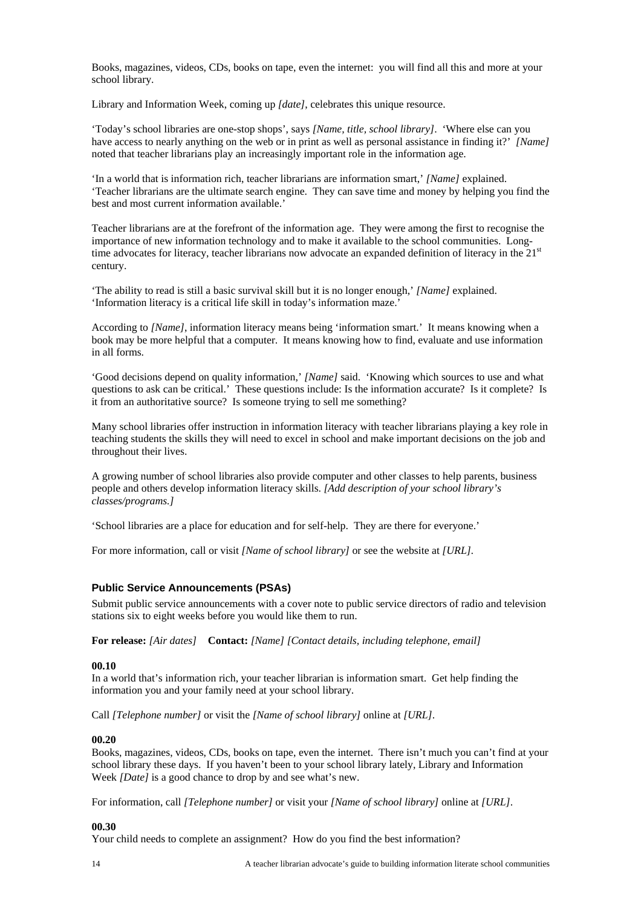<span id="page-13-0"></span>Books, magazines, videos, CDs, books on tape, even the internet: you will find all this and more at your school library.

Library and Information Week, coming up *[date]*, celebrates this unique resource.

'Today's school libraries are one-stop shops', says *[Name, title, school library]*. 'Where else can you have access to nearly anything on the web or in print as well as personal assistance in finding it?' *[Name]* noted that teacher librarians play an increasingly important role in the information age.

'In a world that is information rich, teacher librarians are information smart,' *[Name]* explained. 'Teacher librarians are the ultimate search engine. They can save time and money by helping you find the best and most current information available.'

Teacher librarians are at the forefront of the information age. They were among the first to recognise the importance of new information technology and to make it available to the school communities. Longtime advocates for literacy, teacher librarians now advocate an expanded definition of literacy in the 21<sup>st</sup> century.

'The ability to read is still a basic survival skill but it is no longer enough,' *[Name]* explained. 'Information literacy is a critical life skill in today's information maze.'

According to *[Name]*, information literacy means being 'information smart.' It means knowing when a book may be more helpful that a computer. It means knowing how to find, evaluate and use information in all forms.

'Good decisions depend on quality information,' *[Name]* said. 'Knowing which sources to use and what questions to ask can be critical.' These questions include: Is the information accurate? Is it complete? Is it from an authoritative source? Is someone trying to sell me something?

Many school libraries offer instruction in information literacy with teacher librarians playing a key role in teaching students the skills they will need to excel in school and make important decisions on the job and throughout their lives.

A growing number of school libraries also provide computer and other classes to help parents, business people and others develop information literacy skills. *[Add description of your school library's classes/programs.]*

'School libraries are a place for education and for self-help. They are there for everyone.'

For more information, call or visit *[Name of school library]* or see the website at *[URL].*

### **Public Service Announcements (PSAs)**

Submit public service announcements with a cover note to public service directors of radio and television stations six to eight weeks before you would like them to run.

**For release:** *[Air dates]* **Contact:** *[Name] [Contact details, including telephone, email]*

#### **00.10**

In a world that's information rich, your teacher librarian is information smart. Get help finding the information you and your family need at your school library.

Call *[Telephone number]* or visit the *[Name of school library]* online at *[URL]*.

#### **00.20**

Books, magazines, videos, CDs, books on tape, even the internet. There isn't much you can't find at your school library these days. If you haven't been to your school library lately, Library and Information Week *[Date]* is a good chance to drop by and see what's new.

For information, call *[Telephone number]* or visit your *[Name of school library]* online at *[URL]*.

#### **00.30**

Your child needs to complete an assignment? How do you find the best information?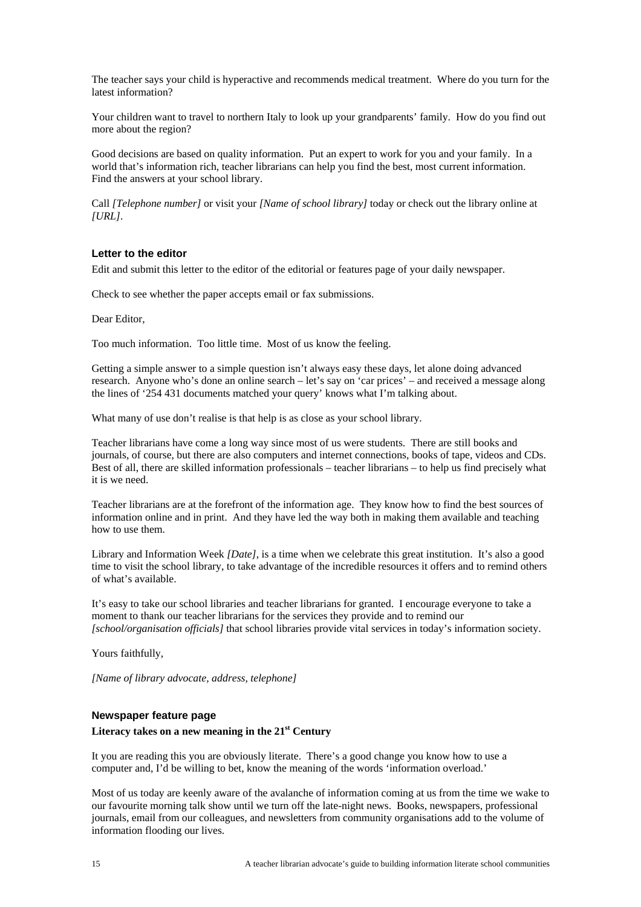<span id="page-14-0"></span>The teacher says your child is hyperactive and recommends medical treatment. Where do you turn for the latest information?

Your children want to travel to northern Italy to look up your grandparents' family. How do you find out more about the region?

Good decisions are based on quality information. Put an expert to work for you and your family. In a world that's information rich, teacher librarians can help you find the best, most current information. Find the answers at your school library.

Call *[Telephone number]* or visit your *[Name of school library]* today or check out the library online at *[URL]*.

### **Letter to the editor**

Edit and submit this letter to the editor of the editorial or features page of your daily newspaper.

Check to see whether the paper accepts email or fax submissions.

Dear Editor,

Too much information. Too little time. Most of us know the feeling.

Getting a simple answer to a simple question isn't always easy these days, let alone doing advanced research. Anyone who's done an online search – let's say on 'car prices' – and received a message along the lines of '254 431 documents matched your query' knows what I'm talking about.

What many of use don't realise is that help is as close as your school library.

Teacher librarians have come a long way since most of us were students. There are still books and journals, of course, but there are also computers and internet connections, books of tape, videos and CDs. Best of all, there are skilled information professionals – teacher librarians – to help us find precisely what it is we need.

Teacher librarians are at the forefront of the information age. They know how to find the best sources of information online and in print. And they have led the way both in making them available and teaching how to use them.

Library and Information Week *[Date]*, is a time when we celebrate this great institution. It's also a good time to visit the school library, to take advantage of the incredible resources it offers and to remind others of what's available.

It's easy to take our school libraries and teacher librarians for granted. I encourage everyone to take a moment to thank our teacher librarians for the services they provide and to remind our *[school/organisation officials]* that school libraries provide vital services in today's information society.

Yours faithfully,

*[Name of library advocate, address, telephone]*

### **Newspaper feature page**

#### **Literacy takes on a new meaning in the 21st Century**

It you are reading this you are obviously literate. There's a good change you know how to use a computer and, I'd be willing to bet, know the meaning of the words 'information overload.'

Most of us today are keenly aware of the avalanche of information coming at us from the time we wake to our favourite morning talk show until we turn off the late-night news. Books, newspapers, professional journals, email from our colleagues, and newsletters from community organisations add to the volume of information flooding our lives.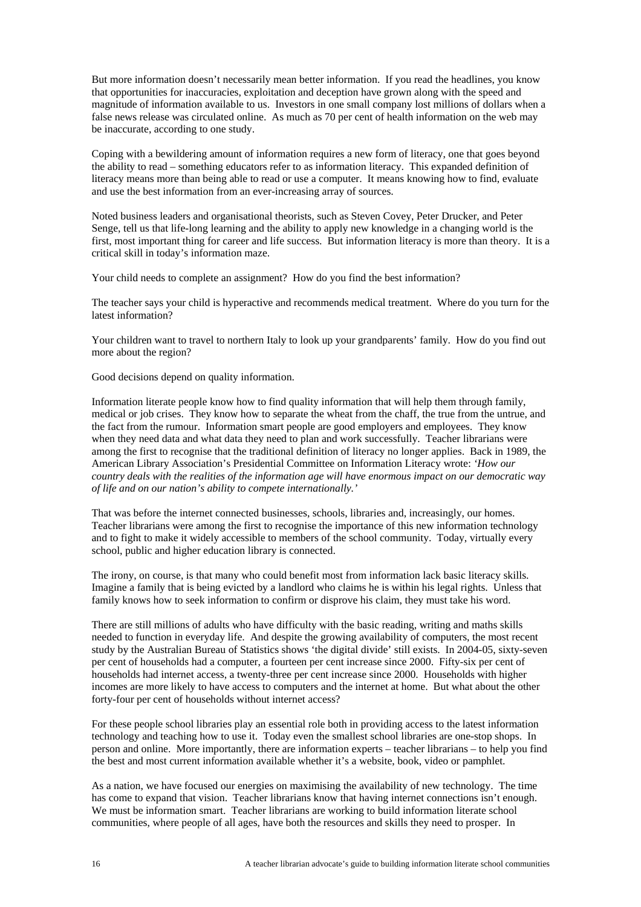But more information doesn't necessarily mean better information. If you read the headlines, you know that opportunities for inaccuracies, exploitation and deception have grown along with the speed and magnitude of information available to us. Investors in one small company lost millions of dollars when a false news release was circulated online. As much as 70 per cent of health information on the web may be inaccurate, according to one study.

Coping with a bewildering amount of information requires a new form of literacy, one that goes beyond the ability to read – something educators refer to as information literacy. This expanded definition of literacy means more than being able to read or use a computer. It means knowing how to find, evaluate and use the best information from an ever-increasing array of sources.

Noted business leaders and organisational theorists, such as Steven Covey, Peter Drucker, and Peter Senge, tell us that life-long learning and the ability to apply new knowledge in a changing world is the first, most important thing for career and life success. But information literacy is more than theory. It is a critical skill in today's information maze.

Your child needs to complete an assignment? How do you find the best information?

The teacher says your child is hyperactive and recommends medical treatment. Where do you turn for the latest information?

Your children want to travel to northern Italy to look up your grandparents' family. How do you find out more about the region?

Good decisions depend on quality information.

Information literate people know how to find quality information that will help them through family, medical or job crises. They know how to separate the wheat from the chaff, the true from the untrue, and the fact from the rumour. Information smart people are good employers and employees. They know when they need data and what data they need to plan and work successfully. Teacher librarians were among the first to recognise that the traditional definition of literacy no longer applies. Back in 1989, the American Library Association's Presidential Committee on Information Literacy wrote: *'How our country deals with the realities of the information age will have enormous impact on our democratic way of life and on our nation's ability to compete internationally.'* 

That was before the internet connected businesses, schools, libraries and, increasingly, our homes. Teacher librarians were among the first to recognise the importance of this new information technology and to fight to make it widely accessible to members of the school community. Today, virtually every school, public and higher education library is connected.

The irony, on course, is that many who could benefit most from information lack basic literacy skills. Imagine a family that is being evicted by a landlord who claims he is within his legal rights. Unless that family knows how to seek information to confirm or disprove his claim, they must take his word.

There are still millions of adults who have difficulty with the basic reading, writing and maths skills needed to function in everyday life. And despite the growing availability of computers, the most recent study by the Australian Bureau of Statistics shows 'the digital divide' still exists. In 2004-05, sixty-seven per cent of households had a computer, a fourteen per cent increase since 2000. Fifty-six per cent of households had internet access, a twenty-three per cent increase since 2000. Households with higher incomes are more likely to have access to computers and the internet at home. But what about the other forty-four per cent of households without internet access?

For these people school libraries play an essential role both in providing access to the latest information technology and teaching how to use it. Today even the smallest school libraries are one-stop shops. In person and online. More importantly, there are information experts – teacher librarians – to help you find the best and most current information available whether it's a website, book, video or pamphlet.

As a nation, we have focused our energies on maximising the availability of new technology. The time has come to expand that vision. Teacher librarians know that having internet connections isn't enough. We must be information smart. Teacher librarians are working to build information literate school communities, where people of all ages, have both the resources and skills they need to prosper. In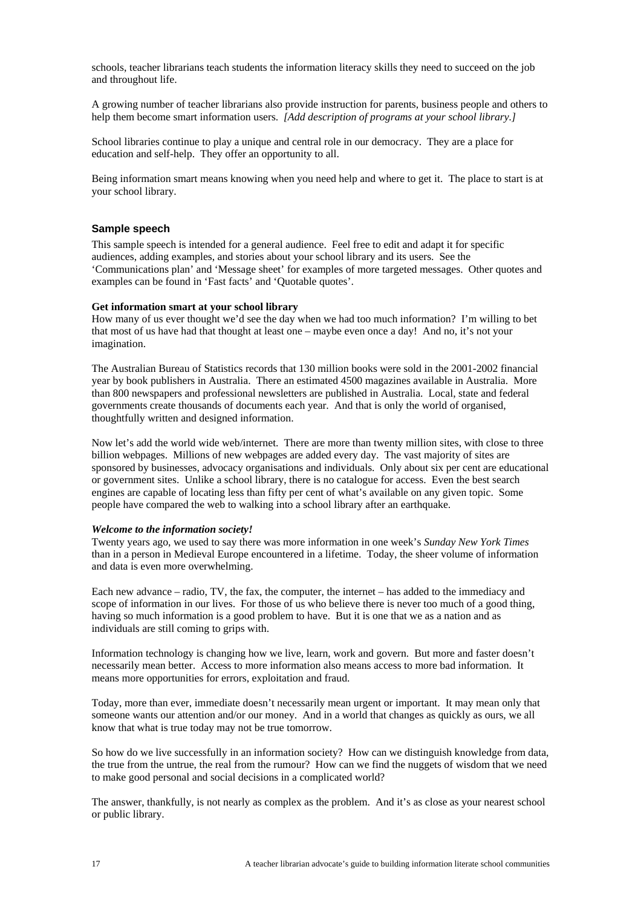<span id="page-16-0"></span>schools, teacher librarians teach students the information literacy skills they need to succeed on the job and throughout life.

A growing number of teacher librarians also provide instruction for parents, business people and others to help them become smart information users. *[Add description of programs at your school library.]*

School libraries continue to play a unique and central role in our democracy. They are a place for education and self-help. They offer an opportunity to all.

Being information smart means knowing when you need help and where to get it. The place to start is at your school library.

#### **Sample speech**

This sample speech is intended for a general audience. Feel free to edit and adapt it for specific audiences, adding examples, and stories about your school library and its users. See the 'Communications plan' and 'Message sheet' for examples of more targeted messages. Other quotes and examples can be found in 'Fast facts' and 'Quotable quotes'.

### **Get information smart at your school library**

How many of us ever thought we'd see the day when we had too much information? I'm willing to bet that most of us have had that thought at least one – maybe even once a day! And no, it's not your imagination.

The Australian Bureau of Statistics records that 130 million books were sold in the 2001-2002 financial year by book publishers in Australia. There an estimated 4500 magazines available in Australia. More than 800 newspapers and professional newsletters are published in Australia. Local, state and federal governments create thousands of documents each year. And that is only the world of organised, thoughtfully written and designed information.

Now let's add the world wide web/internet. There are more than twenty million sites, with close to three billion webpages. Millions of new webpages are added every day. The vast majority of sites are sponsored by businesses, advocacy organisations and individuals. Only about six per cent are educational or government sites. Unlike a school library, there is no catalogue for access. Even the best search engines are capable of locating less than fifty per cent of what's available on any given topic. Some people have compared the web to walking into a school library after an earthquake.

#### *Welcome to the information society!*

Twenty years ago, we used to say there was more information in one week's *Sunday New York Times* than in a person in Medieval Europe encountered in a lifetime. Today, the sheer volume of information and data is even more overwhelming.

Each new advance – radio, TV, the fax, the computer, the internet – has added to the immediacy and scope of information in our lives. For those of us who believe there is never too much of a good thing, having so much information is a good problem to have. But it is one that we as a nation and as individuals are still coming to grips with.

Information technology is changing how we live, learn, work and govern. But more and faster doesn't necessarily mean better. Access to more information also means access to more bad information. It means more opportunities for errors, exploitation and fraud.

Today, more than ever, immediate doesn't necessarily mean urgent or important. It may mean only that someone wants our attention and/or our money. And in a world that changes as quickly as ours, we all know that what is true today may not be true tomorrow.

So how do we live successfully in an information society? How can we distinguish knowledge from data, the true from the untrue, the real from the rumour? How can we find the nuggets of wisdom that we need to make good personal and social decisions in a complicated world?

The answer, thankfully, is not nearly as complex as the problem. And it's as close as your nearest school or public library.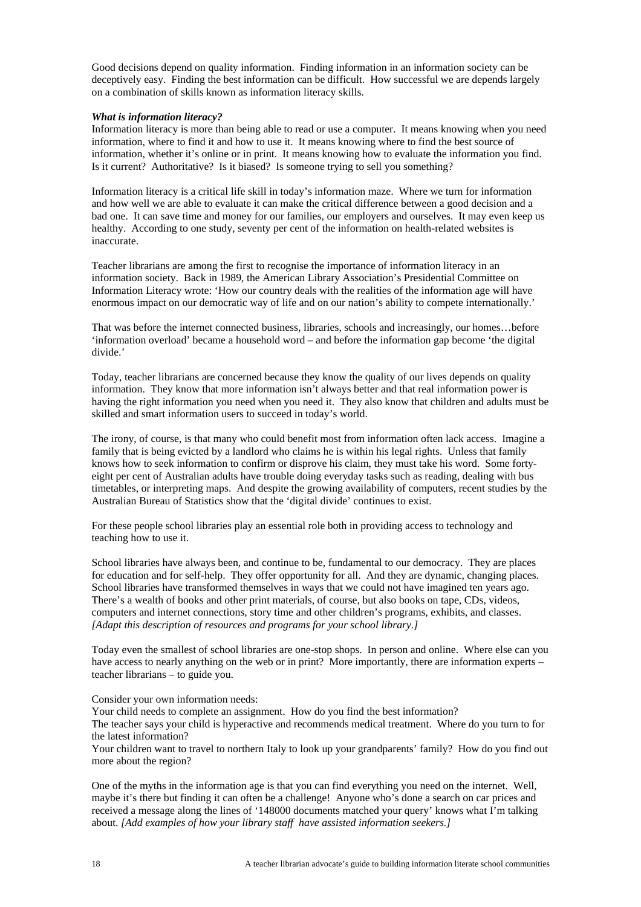Good decisions depend on quality information. Finding information in an information society can be deceptively easy. Finding the best information can be difficult. How successful we are depends largely on a combination of skills known as information literacy skills.

### *What is information literacy?*

Information literacy is more than being able to read or use a computer. It means knowing when you need information, where to find it and how to use it. It means knowing where to find the best source of information, whether it's online or in print. It means knowing how to evaluate the information you find. Is it current? Authoritative? Is it biased? Is someone trying to sell you something?

Information literacy is a critical life skill in today's information maze. Where we turn for information and how well we are able to evaluate it can make the critical difference between a good decision and a bad one. It can save time and money for our families, our employers and ourselves. It may even keep us healthy. According to one study, seventy per cent of the information on health-related websites is inaccurate.

Teacher librarians are among the first to recognise the importance of information literacy in an information society. Back in 1989, the American Library Association's Presidential Committee on Information Literacy wrote: 'How our country deals with the realities of the information age will have enormous impact on our democratic way of life and on our nation's ability to compete internationally.'

That was before the internet connected business, libraries, schools and increasingly, our homes…before 'information overload' became a household word – and before the information gap become 'the digital divide.'

Today, teacher librarians are concerned because they know the quality of our lives depends on quality information. They know that more information isn't always better and that real information power is having the right information you need when you need it. They also know that children and adults must be skilled and smart information users to succeed in today's world.

The irony, of course, is that many who could benefit most from information often lack access. Imagine a family that is being evicted by a landlord who claims he is within his legal rights. Unless that family knows how to seek information to confirm or disprove his claim, they must take his word. Some fortyeight per cent of Australian adults have trouble doing everyday tasks such as reading, dealing with bus timetables, or interpreting maps. And despite the growing availability of computers, recent studies by the Australian Bureau of Statistics show that the 'digital divide' continues to exist.

For these people school libraries play an essential role both in providing access to technology and teaching how to use it.

School libraries have always been, and continue to be, fundamental to our democracy. They are places for education and for self-help. They offer opportunity for all. And they are dynamic, changing places. School libraries have transformed themselves in ways that we could not have imagined ten years ago. There's a wealth of books and other print materials, of course, but also books on tape, CDs, videos, computers and internet connections, story time and other children's programs, exhibits, and classes. *[Adapt this description of resources and programs for your school library.]*

Today even the smallest of school libraries are one-stop shops. In person and online. Where else can you have access to nearly anything on the web or in print? More importantly, there are information experts – teacher librarians – to guide you.

Consider your own information needs:

Your child needs to complete an assignment. How do you find the best information?

The teacher says your child is hyperactive and recommends medical treatment. Where do you turn to for the latest information?

Your children want to travel to northern Italy to look up your grandparents' family? How do you find out more about the region?

One of the myths in the information age is that you can find everything you need on the internet. Well, maybe it's there but finding it can often be a challenge! Anyone who's done a search on car prices and received a message along the lines of '148000 documents matched your query' knows what I'm talking about. *[Add examples of how your library staff have assisted information seekers.]*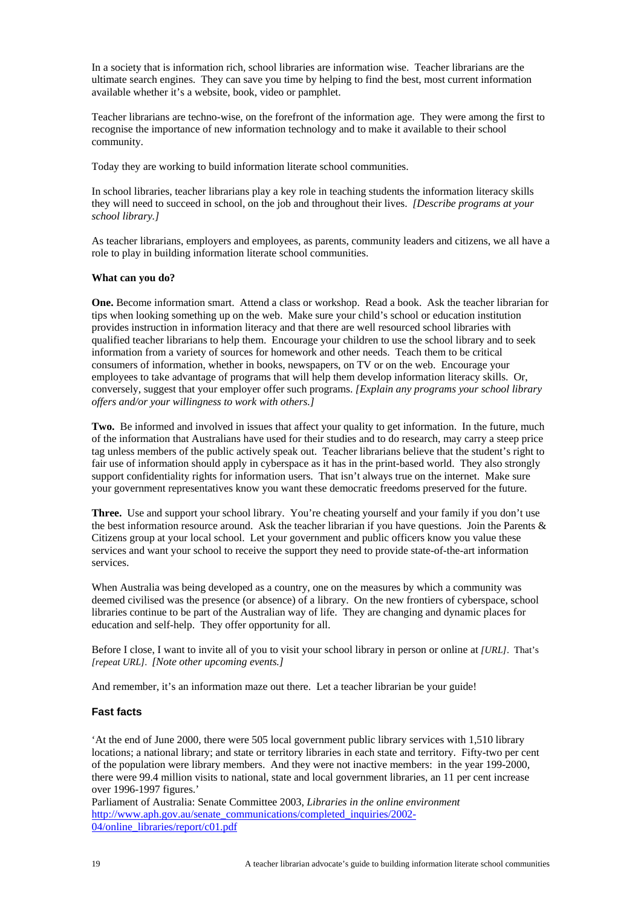<span id="page-18-0"></span>In a society that is information rich, school libraries are information wise. Teacher librarians are the ultimate search engines. They can save you time by helping to find the best, most current information available whether it's a website, book, video or pamphlet.

Teacher librarians are techno-wise, on the forefront of the information age. They were among the first to recognise the importance of new information technology and to make it available to their school community.

Today they are working to build information literate school communities.

In school libraries, teacher librarians play a key role in teaching students the information literacy skills they will need to succeed in school, on the job and throughout their lives. *[Describe programs at your school library.]*

As teacher librarians, employers and employees, as parents, community leaders and citizens, we all have a role to play in building information literate school communities.

### **What can you do?**

**One.** Become information smart. Attend a class or workshop. Read a book. Ask the teacher librarian for tips when looking something up on the web. Make sure your child's school or education institution provides instruction in information literacy and that there are well resourced school libraries with qualified teacher librarians to help them. Encourage your children to use the school library and to seek information from a variety of sources for homework and other needs. Teach them to be critical consumers of information, whether in books, newspapers, on TV or on the web. Encourage your employees to take advantage of programs that will help them develop information literacy skills. Or, conversely, suggest that your employer offer such programs. *[Explain any programs your school library offers and/or your willingness to work with others.]*

**Two.** Be informed and involved in issues that affect your quality to get information. In the future, much of the information that Australians have used for their studies and to do research, may carry a steep price tag unless members of the public actively speak out. Teacher librarians believe that the student's right to fair use of information should apply in cyberspace as it has in the print-based world. They also strongly support confidentiality rights for information users. That isn't always true on the internet. Make sure your government representatives know you want these democratic freedoms preserved for the future.

**Three.** Use and support your school library. You're cheating yourself and your family if you don't use the best information resource around. Ask the teacher librarian if you have questions. Join the Parents & Citizens group at your local school. Let your government and public officers know you value these services and want your school to receive the support they need to provide state-of-the-art information services.

When Australia was being developed as a country, one on the measures by which a community was deemed civilised was the presence (or absence) of a library. On the new frontiers of cyberspace, school libraries continue to be part of the Australian way of life. They are changing and dynamic places for education and self-help. They offer opportunity for all.

Before I close, I want to invite all of you to visit your school library in person or online at *[URL]*. That's *[repeat URL]*. *[Note other upcoming events.]*

And remember, it's an information maze out there. Let a teacher librarian be your guide!

### **Fast facts**

'At the end of June 2000, there were 505 local government public library services with 1,510 library locations; a national library; and state or territory libraries in each state and territory. Fifty-two per cent of the population were library members. And they were not inactive members: in the year 199-2000, there were 99.4 million visits to national, state and local government libraries, an 11 per cent increase over 1996-1997 figures.'

Parliament of Australia: Senate Committee 2003, *Libraries in the online environment* [http://www.aph.gov.au/senate\\_communications/completed\\_inquiries/2002-](http://www.aph.gov.au/senate_communications/completed_inquiries/2002-04/online_libraries/report/c01.pdf) [04/online\\_libraries/report/c01.pdf](http://www.aph.gov.au/senate_communications/completed_inquiries/2002-04/online_libraries/report/c01.pdf)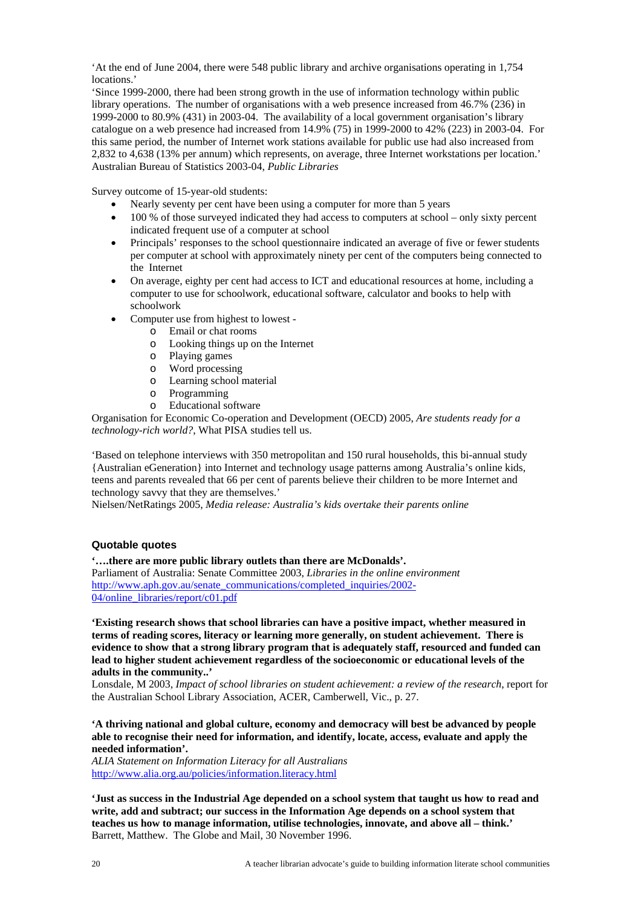<span id="page-19-0"></span>'At the end of June 2004, there were 548 public library and archive organisations operating in 1,754 locations<sup>'</sup>

'Since 1999-2000, there had been strong growth in the use of information technology within public library operations. The number of organisations with a web presence increased from 46.7% (236) in 1999-2000 to 80.9% (431) in 2003-04. The availability of a local government organisation's library catalogue on a web presence had increased from 14.9% (75) in 1999-2000 to 42% (223) in 2003-04. For this same period, the number of Internet work stations available for public use had also increased from 2,832 to 4,638 (13% per annum) which represents, on average, three Internet workstations per location.' Australian Bureau of Statistics 2003-04, *Public Libraries*

Survey outcome of 15-year-old students:

- Nearly seventy per cent have been using a computer for more than 5 years
- $\bullet$  100 % of those surveyed indicated they had access to computers at school only sixty percent indicated frequent use of a computer at school
- Principals' responses to the school questionnaire indicated an average of five or fewer students per computer at school with approximately ninety per cent of the computers being connected to the Internet
- On average, eighty per cent had access to ICT and educational resources at home, including a computer to use for schoolwork, educational software, calculator and books to help with schoolwork
- Computer use from highest to lowest
	- o Email or chat rooms
	- o Looking things up on the Internet
	- o Playing games
	- o Word processing
	- o Learning school material
	- o Programming
	- o Educational software

Organisation for Economic Co-operation and Development (OECD) 2005, *Are students ready for a technology-rich world?*, What PISA studies tell us.

'Based on telephone interviews with 350 metropolitan and 150 rural households, this bi-annual study {Australian eGeneration} into Internet and technology usage patterns among Australia's online kids, teens and parents revealed that 66 per cent of parents believe their children to be more Internet and technology savvy that they are themselves.'

Nielsen/NetRatings 2005, *Media release: Australia's kids overtake their parents online*

## **Quotable quotes**

**'….there are more public library outlets than there are McDonalds'.**

Parliament of Australia: Senate Committee 2003, *Libraries in the online environment* [http://www.aph.gov.au/senate\\_communications/completed\\_inquiries/2002-](http://www.aph.gov.au/senate_communications/completed_inquiries/2002-04/online_libraries/report/c01.pdf) [04/online\\_libraries/report/c01.pdf](http://www.aph.gov.au/senate_communications/completed_inquiries/2002-04/online_libraries/report/c01.pdf)

**'Existing research shows that school libraries can have a positive impact, whether measured in terms of reading scores, literacy or learning more generally, on student achievement. There is evidence to show that a strong library program that is adequately staff, resourced and funded can lead to higher student achievement regardless of the socioeconomic or educational levels of the adults in the community..'**

Lonsdale, M 2003, *Impact of school libraries on student achievement: a review of the research*, report for the Australian School Library Association, ACER, Camberwell, Vic., p. 27.

**'A thriving national and global culture, economy and democracy will best be advanced by people able to recognise their need for information, and identify, locate, access, evaluate and apply the needed information'.** 

*ALIA Statement on Information Literacy for all Australians* <http://www.alia.org.au/policies/information.literacy.html>

**'Just as success in the Industrial Age depended on a school system that taught us how to read and write, add and subtract; our success in the Information Age depends on a school system that teaches us how to manage information, utilise technologies, innovate, and above all – think.'**  Barrett, Matthew. The Globe and Mail, 30 November 1996.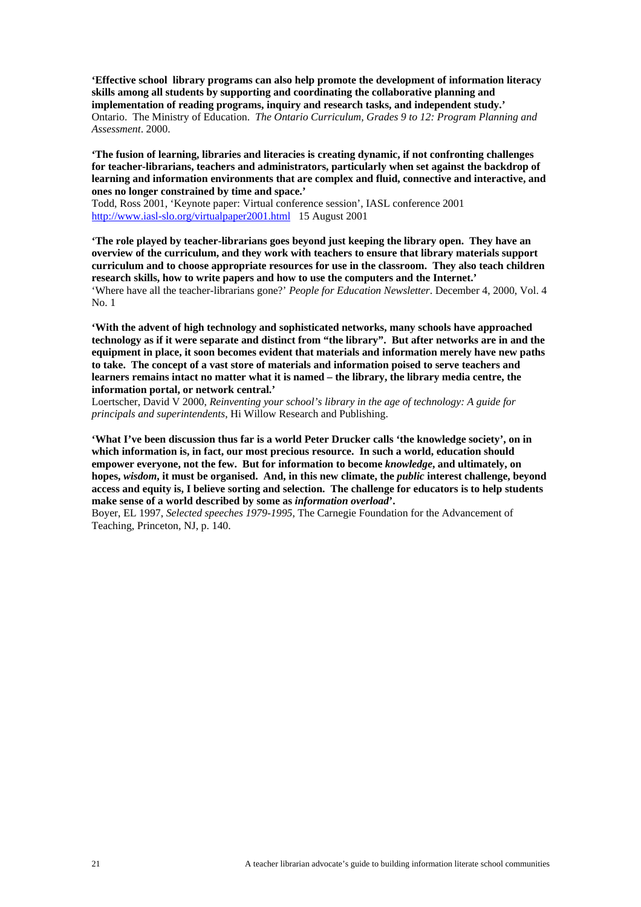**'Effective school library programs can also help promote the development of information literacy skills among all students by supporting and coordinating the collaborative planning and implementation of reading programs, inquiry and research tasks, and independent study.'**  Ontario. The Ministry of Education. *The Ontario Curriculum, Grades 9 to 12: Program Planning and Assessment*. 2000.

**'The fusion of learning, libraries and literacies is creating dynamic, if not confronting challenges for teacher-librarians, teachers and administrators, particularly when set against the backdrop of learning and information environments that are complex and fluid, connective and interactive, and ones no longer constrained by time and space.'** 

Todd, Ross 2001, 'Keynote paper: Virtual conference session', IASL conference 2001 <http://www.iasl-slo.org/virtualpaper2001.html> 15 August 2001

**'The role played by teacher-librarians goes beyond just keeping the library open. They have an overview of the curriculum, and they work with teachers to ensure that library materials support curriculum and to choose appropriate resources for use in the classroom. They also teach children research skills, how to write papers and how to use the computers and the Internet.'**  'Where have all the teacher-librarians gone?' *People for Education Newsletter*. December 4, 2000, Vol. 4 No. 1

**'With the advent of high technology and sophisticated networks, many schools have approached technology as if it were separate and distinct from "the library". But after networks are in and the equipment in place, it soon becomes evident that materials and information merely have new paths to take. The concept of a vast store of materials and information poised to serve teachers and learners remains intact no matter what it is named – the library, the library media centre, the information portal, or network central.'** 

Loertscher, David V 2000, *Reinventing your school's library in the age of technology: A guide for principals and superintendents*, Hi Willow Research and Publishing.

**'What I've been discussion thus far is a world Peter Drucker calls 'the knowledge society', on in which information is, in fact, our most precious resource. In such a world, education should empower everyone, not the few. But for information to become** *knowledge***, and ultimately, on hopes,** *wisdom***, it must be organised. And, in this new climate, the** *public* **interest challenge, beyond access and equity is, I believe sorting and selection. The challenge for educators is to help students make sense of a world described by some as** *information overload***'.** 

Boyer, EL 1997, *Selected speeches 1979-1995*, The Carnegie Foundation for the Advancement of Teaching, Princeton, NJ, p. 140.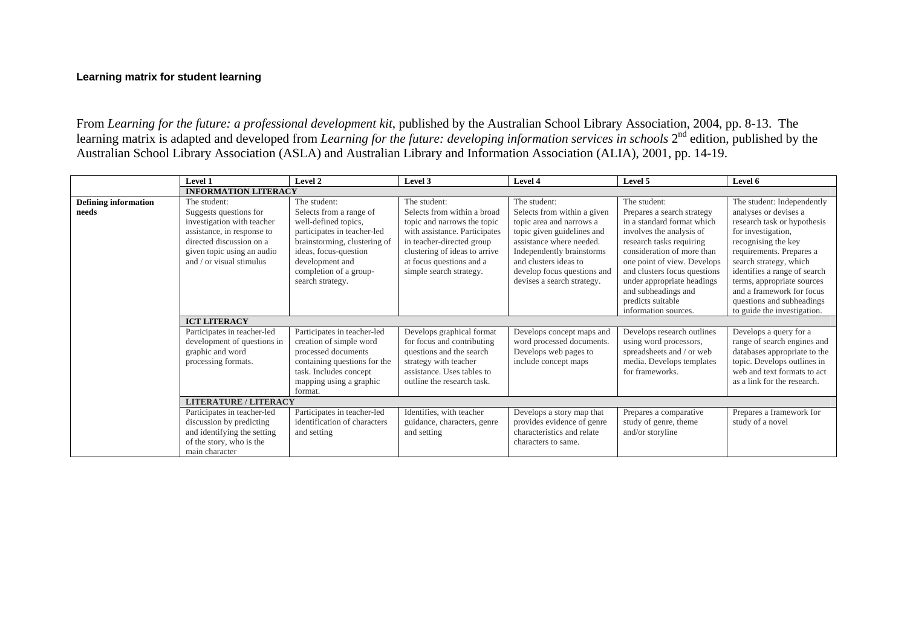# **Learning matrix for student learning**

From *Learning for the future: a professional development kit*, published by the Australian School Library Association, 2004, pp. 8-13. The learning matrix is adapted and developed from *Learning for the future: developing information services in schools*  $2^{nd}$  edition, published by the Australian School Library Association (ASLA) and Australian Library and Information Association (ALIA), 2001, pp. 14-19.

<span id="page-21-0"></span>

|                                      | Level 1                                                                                                                                                                                    | Level 2                                                                                                                                                                                                                  | Level 3                                                                                                                                                                                                                          | Level 4                                                                                                                                                                                                                                              | Level 5                                                                                                                                                                                                                                                                                                                         | Level 6                                                                                                                                                                                                                                                                                                                                      |
|--------------------------------------|--------------------------------------------------------------------------------------------------------------------------------------------------------------------------------------------|--------------------------------------------------------------------------------------------------------------------------------------------------------------------------------------------------------------------------|----------------------------------------------------------------------------------------------------------------------------------------------------------------------------------------------------------------------------------|------------------------------------------------------------------------------------------------------------------------------------------------------------------------------------------------------------------------------------------------------|---------------------------------------------------------------------------------------------------------------------------------------------------------------------------------------------------------------------------------------------------------------------------------------------------------------------------------|----------------------------------------------------------------------------------------------------------------------------------------------------------------------------------------------------------------------------------------------------------------------------------------------------------------------------------------------|
|                                      | <b>INFORMATION LITERACY</b>                                                                                                                                                                |                                                                                                                                                                                                                          |                                                                                                                                                                                                                                  |                                                                                                                                                                                                                                                      |                                                                                                                                                                                                                                                                                                                                 |                                                                                                                                                                                                                                                                                                                                              |
| <b>Defining information</b><br>needs | The student:<br>Suggests questions for<br>investigation with teacher<br>assistance, in response to<br>directed discussion on a<br>given topic using an audio<br>and $/$ or visual stimulus | The student:<br>Selects from a range of<br>well-defined topics,<br>participates in teacher-led<br>brainstorming, clustering of<br>ideas, focus-question<br>development and<br>completion of a group-<br>search strategy. | The student:<br>Selects from within a broad<br>topic and narrows the topic<br>with assistance. Participates<br>in teacher-directed group<br>clustering of ideas to arrive<br>at focus questions and a<br>simple search strategy. | The student:<br>Selects from within a given<br>topic area and narrows a<br>topic given guidelines and<br>assistance where needed.<br>Independently brainstorms<br>and clusters ideas to<br>develop focus questions and<br>devises a search strategy. | The student:<br>Prepares a search strategy<br>in a standard format which<br>involves the analysis of<br>research tasks requiring<br>consideration of more than<br>one point of view. Develops<br>and clusters focus questions<br>under appropriate headings<br>and subheadings and<br>predicts suitable<br>information sources. | The student: Independently<br>analyses or devises a<br>research task or hypothesis<br>for investigation,<br>recognising the key<br>requirements. Prepares a<br>search strategy, which<br>identifies a range of search<br>terms, appropriate sources<br>and a framework for focus<br>questions and subheadings<br>to guide the investigation. |
|                                      | <b>ICT LITERACY</b>                                                                                                                                                                        |                                                                                                                                                                                                                          |                                                                                                                                                                                                                                  |                                                                                                                                                                                                                                                      |                                                                                                                                                                                                                                                                                                                                 |                                                                                                                                                                                                                                                                                                                                              |
|                                      | Participates in teacher-led<br>development of questions in<br>graphic and word<br>processing formats.                                                                                      | Participates in teacher-led<br>creation of simple word<br>processed documents<br>containing questions for the<br>task. Includes concept<br>mapping using a graphic<br>format.                                            | Develops graphical format<br>for focus and contributing<br>questions and the search<br>strategy with teacher<br>assistance. Uses tables to<br>outline the research task.                                                         | Develops concept maps and<br>word processed documents.<br>Develops web pages to<br>include concept maps                                                                                                                                              | Develops research outlines<br>using word processors,<br>spreadsheets and / or web<br>media. Develops templates<br>for frameworks.                                                                                                                                                                                               | Develops a query for a<br>range of search engines and<br>databases appropriate to the<br>topic. Develops outlines in<br>web and text formats to act<br>as a link for the research.                                                                                                                                                           |
|                                      | <b>LITERATURE / LITERACY</b>                                                                                                                                                               |                                                                                                                                                                                                                          |                                                                                                                                                                                                                                  |                                                                                                                                                                                                                                                      |                                                                                                                                                                                                                                                                                                                                 |                                                                                                                                                                                                                                                                                                                                              |
|                                      | Participates in teacher-led<br>discussion by predicting<br>and identifying the setting<br>of the story, who is the<br>main character                                                       | Participates in teacher-led<br>identification of characters<br>and setting                                                                                                                                               | Identifies, with teacher<br>guidance, characters, genre<br>and setting                                                                                                                                                           | Develops a story map that<br>provides evidence of genre<br>characteristics and relate<br>characters to same.                                                                                                                                         | Prepares a comparative<br>study of genre, theme<br>and/or storyline                                                                                                                                                                                                                                                             | Prepares a framework for<br>study of a novel                                                                                                                                                                                                                                                                                                 |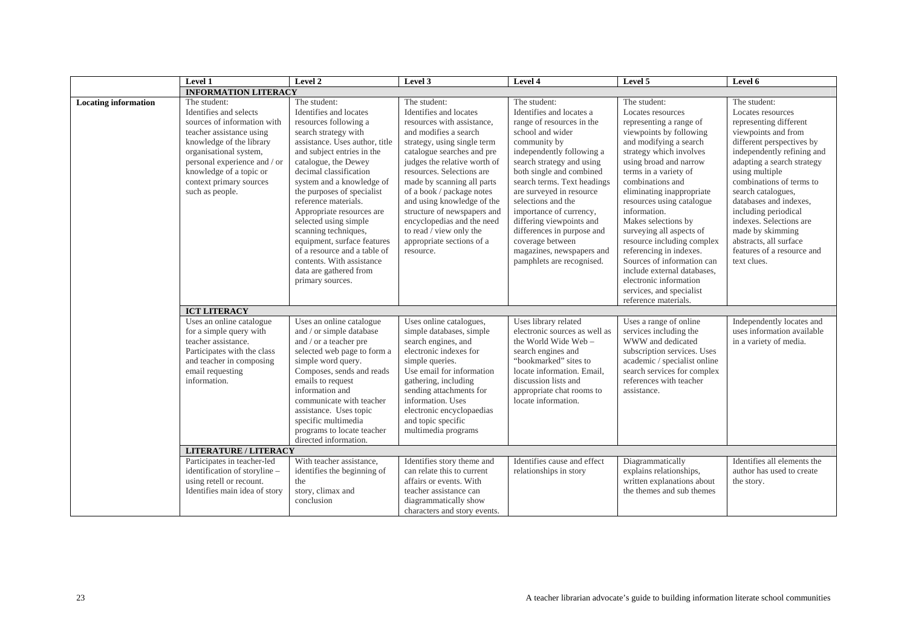|                             | Level 1                                                                                                                                                                                                                                                          | Level 2                                                                                                                                                                                                                                                                                                                                                                                                                                                                                                              | Level 3                                                                                                                                                                                                                                                                                                                                                                                                                                            | Level 4                                                                                                                                                                                                                                                                                                                                                                                                                                             | Level 5                                                                                                                                                                                                                                                                                                                                                                                                                                                                                                                                              | Level 6                                                                                                                                                                                                                                                                                                                                                                                                                 |
|-----------------------------|------------------------------------------------------------------------------------------------------------------------------------------------------------------------------------------------------------------------------------------------------------------|----------------------------------------------------------------------------------------------------------------------------------------------------------------------------------------------------------------------------------------------------------------------------------------------------------------------------------------------------------------------------------------------------------------------------------------------------------------------------------------------------------------------|----------------------------------------------------------------------------------------------------------------------------------------------------------------------------------------------------------------------------------------------------------------------------------------------------------------------------------------------------------------------------------------------------------------------------------------------------|-----------------------------------------------------------------------------------------------------------------------------------------------------------------------------------------------------------------------------------------------------------------------------------------------------------------------------------------------------------------------------------------------------------------------------------------------------|------------------------------------------------------------------------------------------------------------------------------------------------------------------------------------------------------------------------------------------------------------------------------------------------------------------------------------------------------------------------------------------------------------------------------------------------------------------------------------------------------------------------------------------------------|-------------------------------------------------------------------------------------------------------------------------------------------------------------------------------------------------------------------------------------------------------------------------------------------------------------------------------------------------------------------------------------------------------------------------|
|                             | <b>INFORMATION LITERACY</b>                                                                                                                                                                                                                                      |                                                                                                                                                                                                                                                                                                                                                                                                                                                                                                                      |                                                                                                                                                                                                                                                                                                                                                                                                                                                    |                                                                                                                                                                                                                                                                                                                                                                                                                                                     |                                                                                                                                                                                                                                                                                                                                                                                                                                                                                                                                                      |                                                                                                                                                                                                                                                                                                                                                                                                                         |
| <b>Locating information</b> | The student:<br>Identifies and selects<br>sources of information with<br>teacher assistance using<br>knowledge of the library<br>organisational system,<br>personal experience and / or<br>knowledge of a topic or<br>context primary sources<br>such as people. | The student:<br>Identifies and locates<br>resources following a<br>search strategy with<br>assistance. Uses author, title<br>and subject entries in the<br>catalogue, the Dewey<br>decimal classification<br>system and a knowledge of<br>the purposes of specialist<br>reference materials.<br>Appropriate resources are<br>selected using simple<br>scanning techniques,<br>equipment, surface features<br>of a resource and a table of<br>contents. With assistance<br>data are gathered from<br>primary sources. | The student:<br>Identifies and locates<br>resources with assistance,<br>and modifies a search<br>strategy, using single term<br>catalogue searches and pre<br>judges the relative worth of<br>resources. Selections are<br>made by scanning all parts<br>of a book / package notes<br>and using knowledge of the<br>structure of newspapers and<br>encyclopedias and the need<br>to read / view only the<br>appropriate sections of a<br>resource. | The student:<br>Identifies and locates a<br>range of resources in the<br>school and wider<br>community by<br>independently following a<br>search strategy and using<br>both single and combined<br>search terms. Text headings<br>are surveyed in resource<br>selections and the<br>importance of currency,<br>differing viewpoints and<br>differences in purpose and<br>coverage between<br>magazines, newspapers and<br>pamphlets are recognised. | The student:<br>Locates resources<br>representing a range of<br>viewpoints by following<br>and modifying a search<br>strategy which involves<br>using broad and narrow<br>terms in a variety of<br>combinations and<br>eliminating inappropriate<br>resources using catalogue<br>information.<br>Makes selections by<br>surveying all aspects of<br>resource including complex<br>referencing in indexes.<br>Sources of information can<br>include external databases.<br>electronic information<br>services, and specialist<br>reference materials. | The student:<br>Locates resources<br>representing different<br>viewpoints and from<br>different perspectives by<br>independently refining and<br>adapting a search strategy<br>using multiple<br>combinations of terms to<br>search catalogues,<br>databases and indexes,<br>including periodical<br>indexes. Selections are<br>made by skimming<br>abstracts, all surface<br>features of a resource and<br>text clues. |
|                             | <b>ICT LITERACY</b>                                                                                                                                                                                                                                              |                                                                                                                                                                                                                                                                                                                                                                                                                                                                                                                      |                                                                                                                                                                                                                                                                                                                                                                                                                                                    |                                                                                                                                                                                                                                                                                                                                                                                                                                                     |                                                                                                                                                                                                                                                                                                                                                                                                                                                                                                                                                      |                                                                                                                                                                                                                                                                                                                                                                                                                         |
|                             | Uses an online catalogue<br>for a simple query with<br>teacher assistance.<br>Participates with the class<br>and teacher in composing<br>email requesting<br>information.                                                                                        | Uses an online catalogue<br>and / or simple database<br>and / or a teacher pre<br>selected web page to form a<br>simple word query.<br>Composes, sends and reads<br>emails to request<br>information and<br>communicate with teacher<br>assistance. Uses topic<br>specific multimedia<br>programs to locate teacher<br>directed information.                                                                                                                                                                         | Uses online catalogues,<br>simple databases, simple<br>search engines, and<br>electronic indexes for<br>simple queries.<br>Use email for information<br>gathering, including<br>sending attachments for<br>information. Uses<br>electronic encyclopaedias<br>and topic specific<br>multimedia programs                                                                                                                                             | Uses library related<br>electronic sources as well as<br>the World Wide Web -<br>search engines and<br>"bookmarked" sites to<br>locate information. Email.<br>discussion lists and<br>appropriate chat rooms to<br>locate information.                                                                                                                                                                                                              | Uses a range of online<br>services including the<br>WWW and dedicated<br>subscription services. Uses<br>academic / specialist online<br>search services for complex<br>references with teacher<br>assistance.                                                                                                                                                                                                                                                                                                                                        | Independently locates and<br>uses information available<br>in a variety of media.                                                                                                                                                                                                                                                                                                                                       |
|                             | <b>LITERATURE / LITERACY</b>                                                                                                                                                                                                                                     |                                                                                                                                                                                                                                                                                                                                                                                                                                                                                                                      |                                                                                                                                                                                                                                                                                                                                                                                                                                                    |                                                                                                                                                                                                                                                                                                                                                                                                                                                     |                                                                                                                                                                                                                                                                                                                                                                                                                                                                                                                                                      |                                                                                                                                                                                                                                                                                                                                                                                                                         |
|                             | Participates in teacher-led<br>identification of storyline -<br>using retell or recount.<br>Identifies main idea of story                                                                                                                                        | With teacher assistance,<br>identifies the beginning of<br>the<br>story, climax and<br>conclusion                                                                                                                                                                                                                                                                                                                                                                                                                    | Identifies story theme and<br>can relate this to current<br>affairs or events. With<br>teacher assistance can<br>diagrammatically show<br>characters and story events.                                                                                                                                                                                                                                                                             | Identifies cause and effect<br>relationships in story                                                                                                                                                                                                                                                                                                                                                                                               | Diagrammatically<br>explains relationships,<br>written explanations about<br>the themes and sub themes                                                                                                                                                                                                                                                                                                                                                                                                                                               | Identifies all elements the<br>author has used to create<br>the story.                                                                                                                                                                                                                                                                                                                                                  |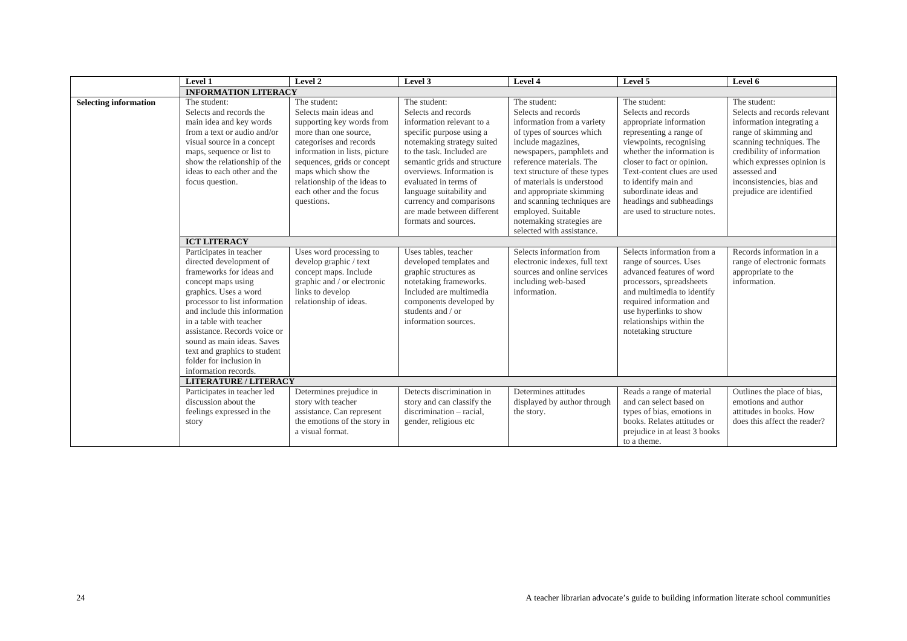|                              | Level 1                                                                                                                                                                                                                                                                                                                                                                                                                                 | Level 2                                                                                                                                                                                                                                                                                                                                                                                                                                             | Level 3                                                                                                                                                                                                                                                                                                                                                                                                                                                                                                                 | Level 4                                                                                                                                                                                                                                                                                                                                                                                                                                                                                                                    | Level 5                                                                                                                                                                                                                                                                                                                                                                                                                                                                                                 | Level 6                                                                                                                                                                                                                                                                                                                                                              |
|------------------------------|-----------------------------------------------------------------------------------------------------------------------------------------------------------------------------------------------------------------------------------------------------------------------------------------------------------------------------------------------------------------------------------------------------------------------------------------|-----------------------------------------------------------------------------------------------------------------------------------------------------------------------------------------------------------------------------------------------------------------------------------------------------------------------------------------------------------------------------------------------------------------------------------------------------|-------------------------------------------------------------------------------------------------------------------------------------------------------------------------------------------------------------------------------------------------------------------------------------------------------------------------------------------------------------------------------------------------------------------------------------------------------------------------------------------------------------------------|----------------------------------------------------------------------------------------------------------------------------------------------------------------------------------------------------------------------------------------------------------------------------------------------------------------------------------------------------------------------------------------------------------------------------------------------------------------------------------------------------------------------------|---------------------------------------------------------------------------------------------------------------------------------------------------------------------------------------------------------------------------------------------------------------------------------------------------------------------------------------------------------------------------------------------------------------------------------------------------------------------------------------------------------|----------------------------------------------------------------------------------------------------------------------------------------------------------------------------------------------------------------------------------------------------------------------------------------------------------------------------------------------------------------------|
|                              | <b>INFORMATION LITERACY</b>                                                                                                                                                                                                                                                                                                                                                                                                             |                                                                                                                                                                                                                                                                                                                                                                                                                                                     |                                                                                                                                                                                                                                                                                                                                                                                                                                                                                                                         |                                                                                                                                                                                                                                                                                                                                                                                                                                                                                                                            |                                                                                                                                                                                                                                                                                                                                                                                                                                                                                                         |                                                                                                                                                                                                                                                                                                                                                                      |
| <b>Selecting information</b> | The student:<br>Selects and records the<br>main idea and key words<br>from a text or audio and/or<br>visual source in a concept<br>maps, sequence or list to<br>show the relationship of the<br>ideas to each other and the<br>focus question.<br><b>ICT LITERACY</b><br>Participates in teacher<br>directed development of<br>frameworks for ideas and<br>concept maps using<br>graphics. Uses a word<br>processor to list information | The student:<br>Selects main ideas and<br>supporting key words from<br>more than one source.<br>categorises and records<br>information in lists, picture<br>sequences, grids or concept<br>maps which show the<br>relationship of the ideas to<br>each other and the focus<br>questions.<br>Uses word processing to<br>develop graphic / text<br>concept maps. Include<br>graphic and / or electronic<br>links to develop<br>relationship of ideas. | The student:<br>Selects and records<br>information relevant to a<br>specific purpose using a<br>notemaking strategy suited<br>to the task. Included are<br>semantic grids and structure<br>overviews. Information is<br>evaluated in terms of<br>language suitability and<br>currency and comparisons<br>are made between different<br>formats and sources.<br>Uses tables, teacher<br>developed templates and<br>graphic structures as<br>notetaking frameworks.<br>Included are multimedia<br>components developed by | The student:<br>Selects and records<br>information from a variety<br>of types of sources which<br>include magazines,<br>newspapers, pamphlets and<br>reference materials. The<br>text structure of these types<br>of materials is understood<br>and appropriate skimming<br>and scanning techniques are<br>employed. Suitable<br>notemaking strategies are<br>selected with assistance.<br>Selects information from<br>electronic indexes, full text<br>sources and online services<br>including web-based<br>information. | The student:<br>Selects and records<br>appropriate information<br>representing a range of<br>viewpoints, recognising<br>whether the information is<br>closer to fact or opinion.<br>Text-content clues are used<br>to identify main and<br>subordinate ideas and<br>headings and subheadings<br>are used to structure notes.<br>Selects information from a<br>range of sources. Uses<br>advanced features of word<br>processors, spreadsheets<br>and multimedia to identify<br>required information and | The student:<br>Selects and records relevant<br>information integrating a<br>range of skimming and<br>scanning techniques. The<br>credibility of information<br>which expresses opinion is<br>assessed and<br>inconsistencies, bias and<br>prejudice are identified<br>Records information in a<br>range of electronic formats<br>appropriate to the<br>information. |
|                              | and include this information<br>in a table with teacher<br>assistance. Records voice or<br>sound as main ideas. Saves<br>text and graphics to student<br>folder for inclusion in<br>information records.<br><b>LITERATURE / LITERACY</b><br>Participates in teacher led<br>discussion about the<br>feelings expressed in the<br>story                                                                                                   | Determines prejudice in<br>story with teacher<br>assistance. Can represent<br>the emotions of the story in<br>a visual format.                                                                                                                                                                                                                                                                                                                      | students and / or<br>information sources.<br>Detects discrimination in<br>story and can classify the<br>discrimination – racial.<br>gender, religious etc                                                                                                                                                                                                                                                                                                                                                               | Determines attitudes<br>displayed by author through<br>the story.                                                                                                                                                                                                                                                                                                                                                                                                                                                          | use hyperlinks to show<br>relationships within the<br>notetaking structure<br>Reads a range of material<br>and can select based on<br>types of bias, emotions in<br>books. Relates attitudes or<br>prejudice in at least 3 books<br>to a theme.                                                                                                                                                                                                                                                         | Outlines the place of bias,<br>emotions and author<br>attitudes in books. How<br>does this affect the reader?                                                                                                                                                                                                                                                        |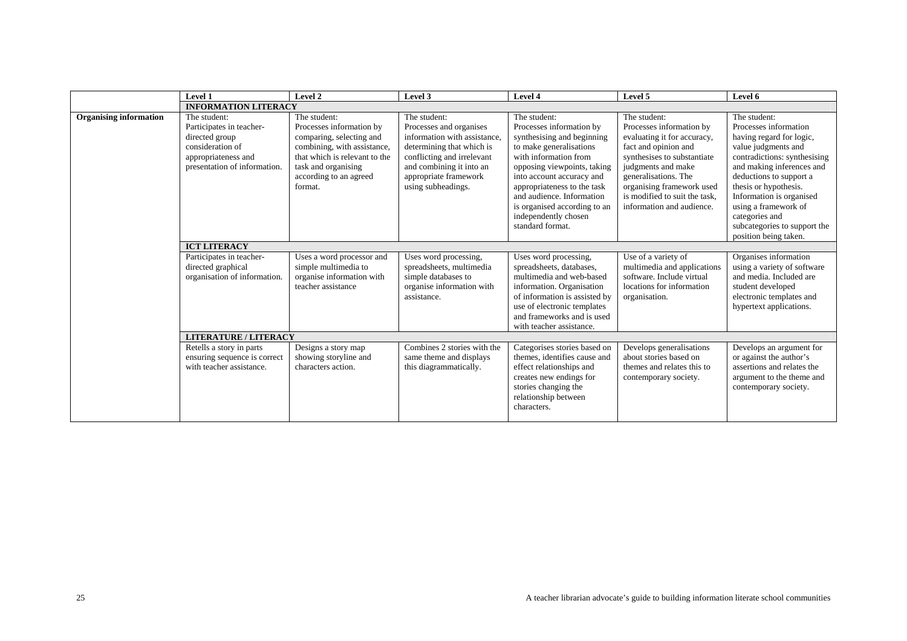|                               | Level 1                                                                                                                               | Level 2                                                                                                                                                                                          | Level 3                                                                                                                                                                                                       | Level 4                                                                                                                                                                                                                                                                                                                        | Level 5                                                                                                                                                                                                                                                                 | Level 6                                                                                                                                                                                                                                                                                                                                  |
|-------------------------------|---------------------------------------------------------------------------------------------------------------------------------------|--------------------------------------------------------------------------------------------------------------------------------------------------------------------------------------------------|---------------------------------------------------------------------------------------------------------------------------------------------------------------------------------------------------------------|--------------------------------------------------------------------------------------------------------------------------------------------------------------------------------------------------------------------------------------------------------------------------------------------------------------------------------|-------------------------------------------------------------------------------------------------------------------------------------------------------------------------------------------------------------------------------------------------------------------------|------------------------------------------------------------------------------------------------------------------------------------------------------------------------------------------------------------------------------------------------------------------------------------------------------------------------------------------|
|                               | <b>INFORMATION LITERACY</b>                                                                                                           |                                                                                                                                                                                                  |                                                                                                                                                                                                               |                                                                                                                                                                                                                                                                                                                                |                                                                                                                                                                                                                                                                         |                                                                                                                                                                                                                                                                                                                                          |
| <b>Organising information</b> | The student:<br>Participates in teacher-<br>directed group<br>consideration of<br>appropriateness and<br>presentation of information. | The student:<br>Processes information by<br>comparing, selecting and<br>combining, with assistance,<br>that which is relevant to the<br>task and organising<br>according to an agreed<br>format. | The student:<br>Processes and organises<br>information with assistance.<br>determining that which is<br>conflicting and irrelevant<br>and combining it into an<br>appropriate framework<br>using subheadings. | The student:<br>Processes information by<br>synthesising and beginning<br>to make generalisations<br>with information from<br>opposing viewpoints, taking<br>into account accuracy and<br>appropriateness to the task<br>and audience. Information<br>is organised according to an<br>independently chosen<br>standard format. | The student:<br>Processes information by<br>evaluating it for accuracy,<br>fact and opinion and<br>synthesises to substantiate<br>judgments and make<br>generalisations. The<br>organising framework used<br>is modified to suit the task.<br>information and audience. | The student:<br>Processes information<br>having regard for logic,<br>value judgments and<br>contradictions: synthesising<br>and making inferences and<br>deductions to support a<br>thesis or hypothesis.<br>Information is organised<br>using a framework of<br>categories and<br>subcategories to support the<br>position being taken. |
|                               | <b>ICT LITERACY</b>                                                                                                                   |                                                                                                                                                                                                  |                                                                                                                                                                                                               |                                                                                                                                                                                                                                                                                                                                |                                                                                                                                                                                                                                                                         |                                                                                                                                                                                                                                                                                                                                          |
|                               | Participates in teacher-<br>directed graphical<br>organisation of information.                                                        | Uses a word processor and<br>simple multimedia to<br>organise information with<br>teacher assistance                                                                                             | Uses word processing,<br>spreadsheets, multimedia<br>simple databases to<br>organise information with<br>assistance.                                                                                          | Uses word processing,<br>spreadsheets, databases,<br>multimedia and web-based<br>information. Organisation<br>of information is assisted by<br>use of electronic templates<br>and frameworks and is used<br>with teacher assistance.                                                                                           | Use of a variety of<br>multimedia and applications<br>software. Include virtual<br>locations for information<br>organisation.                                                                                                                                           | Organises information<br>using a variety of software<br>and media. Included are<br>student developed<br>electronic templates and<br>hypertext applications.                                                                                                                                                                              |
|                               | <b>LITERATURE / LITERACY</b>                                                                                                          |                                                                                                                                                                                                  |                                                                                                                                                                                                               |                                                                                                                                                                                                                                                                                                                                |                                                                                                                                                                                                                                                                         |                                                                                                                                                                                                                                                                                                                                          |
|                               | Retells a story in parts<br>ensuring sequence is correct<br>with teacher assistance.                                                  | Designs a story map<br>showing storyline and<br>characters action.                                                                                                                               | Combines 2 stories with the<br>same theme and displays<br>this diagrammatically.                                                                                                                              | Categorises stories based on<br>themes, identifies cause and<br>effect relationships and<br>creates new endings for<br>stories changing the<br>relationship between<br>characters.                                                                                                                                             | Develops generalisations<br>about stories based on<br>themes and relates this to<br>contemporary society.                                                                                                                                                               | Develops an argument for<br>or against the author's<br>assertions and relates the<br>argument to the theme and<br>contemporary society.                                                                                                                                                                                                  |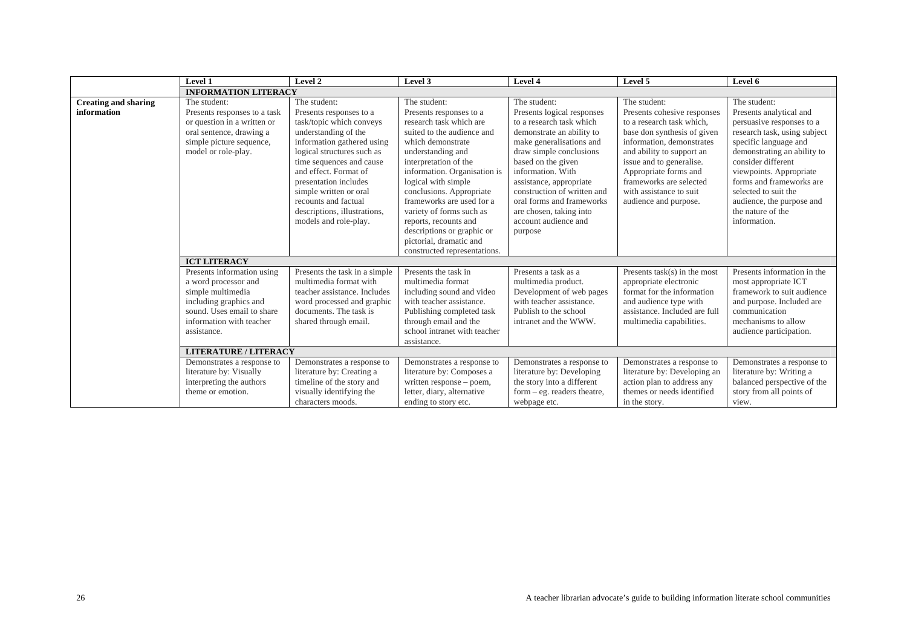|                                            | Level 1                                                                                                                                                                    | Level 2                                                                                                                                                                                                                                                                                                                                          | Level 3                                                                                                                                                                                                                                                                                                                                                                                                                           | Level 4                                                                                                                                                                                                                                                                                                                                                    | Level 5                                                                                                                                                                                                                                                                                               | Level 6                                                                                                                                                                                                                                                                                                                             |
|--------------------------------------------|----------------------------------------------------------------------------------------------------------------------------------------------------------------------------|--------------------------------------------------------------------------------------------------------------------------------------------------------------------------------------------------------------------------------------------------------------------------------------------------------------------------------------------------|-----------------------------------------------------------------------------------------------------------------------------------------------------------------------------------------------------------------------------------------------------------------------------------------------------------------------------------------------------------------------------------------------------------------------------------|------------------------------------------------------------------------------------------------------------------------------------------------------------------------------------------------------------------------------------------------------------------------------------------------------------------------------------------------------------|-------------------------------------------------------------------------------------------------------------------------------------------------------------------------------------------------------------------------------------------------------------------------------------------------------|-------------------------------------------------------------------------------------------------------------------------------------------------------------------------------------------------------------------------------------------------------------------------------------------------------------------------------------|
|                                            | <b>INFORMATION LITERACY</b>                                                                                                                                                |                                                                                                                                                                                                                                                                                                                                                  |                                                                                                                                                                                                                                                                                                                                                                                                                                   |                                                                                                                                                                                                                                                                                                                                                            |                                                                                                                                                                                                                                                                                                       |                                                                                                                                                                                                                                                                                                                                     |
| <b>Creating and sharing</b><br>information | The student:<br>Presents responses to a task<br>or question in a written or<br>oral sentence, drawing a<br>simple picture sequence,<br>model or role-play.                 | The student:<br>Presents responses to a<br>task/topic which conveys<br>understanding of the<br>information gathered using<br>logical structures such as<br>time sequences and cause<br>and effect. Format of<br>presentation includes<br>simple written or oral<br>recounts and factual<br>descriptions, illustrations,<br>models and role-play. | The student:<br>Presents responses to a<br>research task which are<br>suited to the audience and<br>which demonstrate<br>understanding and<br>interpretation of the<br>information. Organisation is<br>logical with simple<br>conclusions. Appropriate<br>frameworks are used for a<br>variety of forms such as<br>reports, recounts and<br>descriptions or graphic or<br>pictorial, dramatic and<br>constructed representations. | The student:<br>Presents logical responses<br>to a research task which<br>demonstrate an ability to<br>make generalisations and<br>draw simple conclusions<br>based on the given<br>information. With<br>assistance, appropriate<br>construction of written and<br>oral forms and frameworks<br>are chosen, taking into<br>account audience and<br>purpose | The student:<br>Presents cohesive responses<br>to a research task which,<br>base don synthesis of given<br>information, demonstrates<br>and ability to support an<br>issue and to generalise.<br>Appropriate forms and<br>frameworks are selected<br>with assistance to suit<br>audience and purpose. | The student:<br>Presents analytical and<br>persuasive responses to a<br>research task, using subject<br>specific language and<br>demonstrating an ability to<br>consider different<br>viewpoints. Appropriate<br>forms and frameworks are<br>selected to suit the<br>audience, the purpose and<br>the nature of the<br>information. |
|                                            | <b>ICT LITERACY</b>                                                                                                                                                        |                                                                                                                                                                                                                                                                                                                                                  |                                                                                                                                                                                                                                                                                                                                                                                                                                   |                                                                                                                                                                                                                                                                                                                                                            |                                                                                                                                                                                                                                                                                                       |                                                                                                                                                                                                                                                                                                                                     |
|                                            | Presents information using<br>a word processor and<br>simple multimedia<br>including graphics and<br>sound. Uses email to share<br>information with teacher<br>assistance. | Presents the task in a simple<br>multimedia format with<br>teacher assistance. Includes<br>word processed and graphic<br>documents. The task is<br>shared through email.                                                                                                                                                                         | Presents the task in<br>multimedia format<br>including sound and video<br>with teacher assistance.<br>Publishing completed task<br>through email and the<br>school intranet with teacher<br>assistance.                                                                                                                                                                                                                           | Presents a task as a<br>multimedia product.<br>Development of web pages<br>with teacher assistance.<br>Publish to the school<br>intranet and the WWW.                                                                                                                                                                                                      | Presents $task(s)$ in the most<br>appropriate electronic<br>format for the information<br>and audience type with<br>assistance. Included are full<br>multimedia capabilities.                                                                                                                         | Presents information in the<br>most appropriate ICT<br>framework to suit audience<br>and purpose. Included are<br>communication<br>mechanisms to allow<br>audience participation.                                                                                                                                                   |
|                                            | <b>LITERATURE / LITERACY</b>                                                                                                                                               |                                                                                                                                                                                                                                                                                                                                                  |                                                                                                                                                                                                                                                                                                                                                                                                                                   |                                                                                                                                                                                                                                                                                                                                                            |                                                                                                                                                                                                                                                                                                       |                                                                                                                                                                                                                                                                                                                                     |
|                                            | Demonstrates a response to<br>literature by: Visually<br>interpreting the authors<br>theme or emotion.                                                                     | Demonstrates a response to<br>literature by: Creating a<br>timeline of the story and<br>visually identifying the<br>characters moods.                                                                                                                                                                                                            | Demonstrates a response to<br>literature by: Composes a<br>written response – poem,<br>letter, diary, alternative<br>ending to story etc.                                                                                                                                                                                                                                                                                         | Demonstrates a response to<br>literature by: Developing<br>the story into a different<br>$form - eg. readers theatre,$<br>webpage etc.                                                                                                                                                                                                                     | Demonstrates a response to<br>literature by: Developing an<br>action plan to address any<br>themes or needs identified<br>in the story.                                                                                                                                                               | Demonstrates a response to<br>literature by: Writing a<br>balanced perspective of the<br>story from all points of<br>view.                                                                                                                                                                                                          |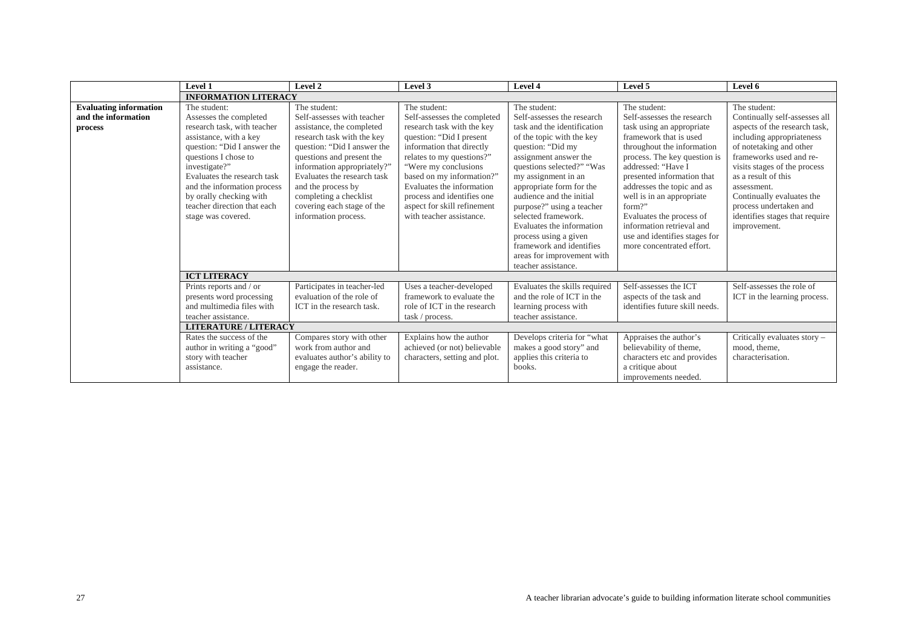|                                                                 | <b>Level 1</b>                                                                                                                                                                                                                                                                                                        | Level 2                                                                                                                                                                                                                                                                                                                               | Level 3                                                                                                                                                                                                                                                                                                                                     | Level 4                                                                                                                                                                                                                                                                                                                                                                                                                              | Level 5                                                                                                                                                                                                                                                                                                                                                                                                         | Level 6                                                                                                                                                                                                                                                                                                                                          |
|-----------------------------------------------------------------|-----------------------------------------------------------------------------------------------------------------------------------------------------------------------------------------------------------------------------------------------------------------------------------------------------------------------|---------------------------------------------------------------------------------------------------------------------------------------------------------------------------------------------------------------------------------------------------------------------------------------------------------------------------------------|---------------------------------------------------------------------------------------------------------------------------------------------------------------------------------------------------------------------------------------------------------------------------------------------------------------------------------------------|--------------------------------------------------------------------------------------------------------------------------------------------------------------------------------------------------------------------------------------------------------------------------------------------------------------------------------------------------------------------------------------------------------------------------------------|-----------------------------------------------------------------------------------------------------------------------------------------------------------------------------------------------------------------------------------------------------------------------------------------------------------------------------------------------------------------------------------------------------------------|--------------------------------------------------------------------------------------------------------------------------------------------------------------------------------------------------------------------------------------------------------------------------------------------------------------------------------------------------|
|                                                                 | <b>INFORMATION LITERACY</b>                                                                                                                                                                                                                                                                                           |                                                                                                                                                                                                                                                                                                                                       |                                                                                                                                                                                                                                                                                                                                             |                                                                                                                                                                                                                                                                                                                                                                                                                                      |                                                                                                                                                                                                                                                                                                                                                                                                                 |                                                                                                                                                                                                                                                                                                                                                  |
| <b>Evaluating information</b><br>and the information<br>process | The student:<br>Assesses the completed<br>research task, with teacher<br>assistance, with a key<br>question: "Did I answer the<br>questions I chose to<br>investigate?"<br>Evaluates the research task<br>and the information process<br>by orally checking with<br>teacher direction that each<br>stage was covered. | The student:<br>Self-assesses with teacher<br>assistance, the completed<br>research task with the key<br>question: "Did I answer the<br>questions and present the<br>information appropriately?"<br>Evaluates the research task<br>and the process by<br>completing a checklist<br>covering each stage of the<br>information process. | The student:<br>Self-assesses the completed<br>research task with the key<br>question: "Did I present<br>information that directly<br>relates to my questions?"<br>"Were my conclusions"<br>based on my information?"<br>Evaluates the information<br>process and identifies one<br>aspect for skill refinement<br>with teacher assistance. | The student:<br>Self-assesses the research<br>task and the identification<br>of the topic with the key<br>question: "Did my<br>assignment answer the<br>questions selected?" "Was<br>my assignment in an<br>appropriate form for the<br>audience and the initial<br>purpose?" using a teacher<br>selected framework.<br>Evaluates the information<br>process using a given<br>framework and identifies<br>areas for improvement with | The student:<br>Self-assesses the research<br>task using an appropriate<br>framework that is used<br>throughout the information<br>process. The key question is<br>addressed: "Have I<br>presented information that<br>addresses the topic and as<br>well is in an appropriate<br>form?"<br>Evaluates the process of<br>information retrieval and<br>use and identifies stages for<br>more concentrated effort. | The student:<br>Continually self-assesses all<br>aspects of the research task,<br>including appropriateness<br>of notetaking and other<br>frameworks used and re-<br>visits stages of the process<br>as a result of this<br>assessment.<br>Continually evaluates the<br>process undertaken and<br>identifies stages that require<br>improvement. |
|                                                                 |                                                                                                                                                                                                                                                                                                                       |                                                                                                                                                                                                                                                                                                                                       |                                                                                                                                                                                                                                                                                                                                             | teacher assistance.                                                                                                                                                                                                                                                                                                                                                                                                                  |                                                                                                                                                                                                                                                                                                                                                                                                                 |                                                                                                                                                                                                                                                                                                                                                  |
|                                                                 | <b>ICT LITERACY</b>                                                                                                                                                                                                                                                                                                   |                                                                                                                                                                                                                                                                                                                                       |                                                                                                                                                                                                                                                                                                                                             |                                                                                                                                                                                                                                                                                                                                                                                                                                      |                                                                                                                                                                                                                                                                                                                                                                                                                 |                                                                                                                                                                                                                                                                                                                                                  |
|                                                                 | Prints reports and / or<br>presents word processing<br>and multimedia files with<br>teacher assistance.                                                                                                                                                                                                               | Participates in teacher-led<br>evaluation of the role of<br>ICT in the research task.                                                                                                                                                                                                                                                 | Uses a teacher-developed<br>framework to evaluate the<br>role of ICT in the research<br>task / process.                                                                                                                                                                                                                                     | Evaluates the skills required<br>and the role of ICT in the<br>learning process with<br>teacher assistance.                                                                                                                                                                                                                                                                                                                          | Self-assesses the ICT<br>aspects of the task and<br>identifies future skill needs.                                                                                                                                                                                                                                                                                                                              | Self-assesses the role of<br>ICT in the learning process.                                                                                                                                                                                                                                                                                        |
|                                                                 | <b>LITERATURE / LITERACY</b>                                                                                                                                                                                                                                                                                          |                                                                                                                                                                                                                                                                                                                                       |                                                                                                                                                                                                                                                                                                                                             |                                                                                                                                                                                                                                                                                                                                                                                                                                      |                                                                                                                                                                                                                                                                                                                                                                                                                 |                                                                                                                                                                                                                                                                                                                                                  |
|                                                                 | Rates the success of the<br>author in writing a "good"<br>story with teacher<br>assistance.                                                                                                                                                                                                                           | Compares story with other<br>work from author and<br>evaluates author's ability to<br>engage the reader.                                                                                                                                                                                                                              | Explains how the author<br>achieved (or not) believable<br>characters, setting and plot.                                                                                                                                                                                                                                                    | Develops criteria for "what<br>makes a good story" and<br>applies this criteria to<br>books.                                                                                                                                                                                                                                                                                                                                         | Appraises the author's<br>believability of theme,<br>characters etc and provides<br>a critique about<br>improvements needed.                                                                                                                                                                                                                                                                                    | Critically evaluates story -<br>mood, theme,<br>characterisation.                                                                                                                                                                                                                                                                                |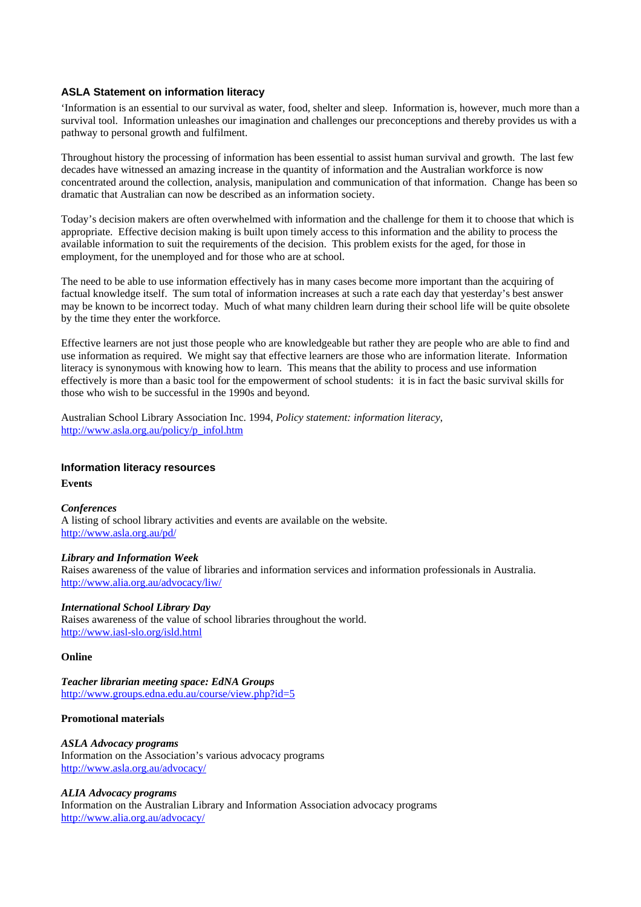### <span id="page-27-0"></span>**ASLA Statement on information literacy**

'Information is an essential to our survival as water, food, shelter and sleep. Information is, however, much more than a survival tool. Information unleashes our imagination and challenges our preconceptions and thereby provides us with a pathway to personal growth and fulfilment.

Throughout history the processing of information has been essential to assist human survival and growth. The last few decades have witnessed an amazing increase in the quantity of information and the Australian workforce is now concentrated around the collection, analysis, manipulation and communication of that information. Change has been so dramatic that Australian can now be described as an information society.

Today's decision makers are often overwhelmed with information and the challenge for them it to choose that which is appropriate. Effective decision making is built upon timely access to this information and the ability to process the available information to suit the requirements of the decision. This problem exists for the aged, for those in employment, for the unemployed and for those who are at school.

The need to be able to use information effectively has in many cases become more important than the acquiring of factual knowledge itself. The sum total of information increases at such a rate each day that yesterday's best answer may be known to be incorrect today. Much of what many children learn during their school life will be quite obsolete by the time they enter the workforce.

Effective learners are not just those people who are knowledgeable but rather they are people who are able to find and use information as required. We might say that effective learners are those who are information literate. Information literacy is synonymous with knowing how to learn. This means that the ability to process and use information effectively is more than a basic tool for the empowerment of school students: it is in fact the basic survival skills for those who wish to be successful in the 1990s and beyond.

Australian School Library Association Inc. 1994, *Policy statement: information literacy*, [http://www.asla.org.au/policy/p\\_infol.htm](http://www.asla.org.au/policy/p_infol.htm)

### **Information literacy resources**

**Events**

### *Conferences*

A listing of school library activities and events are available on the website. <http://www.asla.org.au/pd/>

### *Library and Information Week*

Raises awareness of the value of libraries and information services and information professionals in Australia. <http://www.alia.org.au/advocacy/liw/>

#### *International School Library Day*

Raises awareness of the value of school libraries throughout the world. <http://www.iasl-slo.org/isld.html>

#### **Online**

*Teacher librarian meeting space: EdNA Groups* <http://www.groups.edna.edu.au/course/view.php?id=5>

#### **Promotional materials**

*ASLA Advocacy programs* Information on the Association's various advocacy programs <http://www.asla.org.au/advocacy/>

#### *ALIA Advocacy programs*

Information on the Australian Library and Information Association advocacy programs <http://www.alia.org.au/advocacy/>